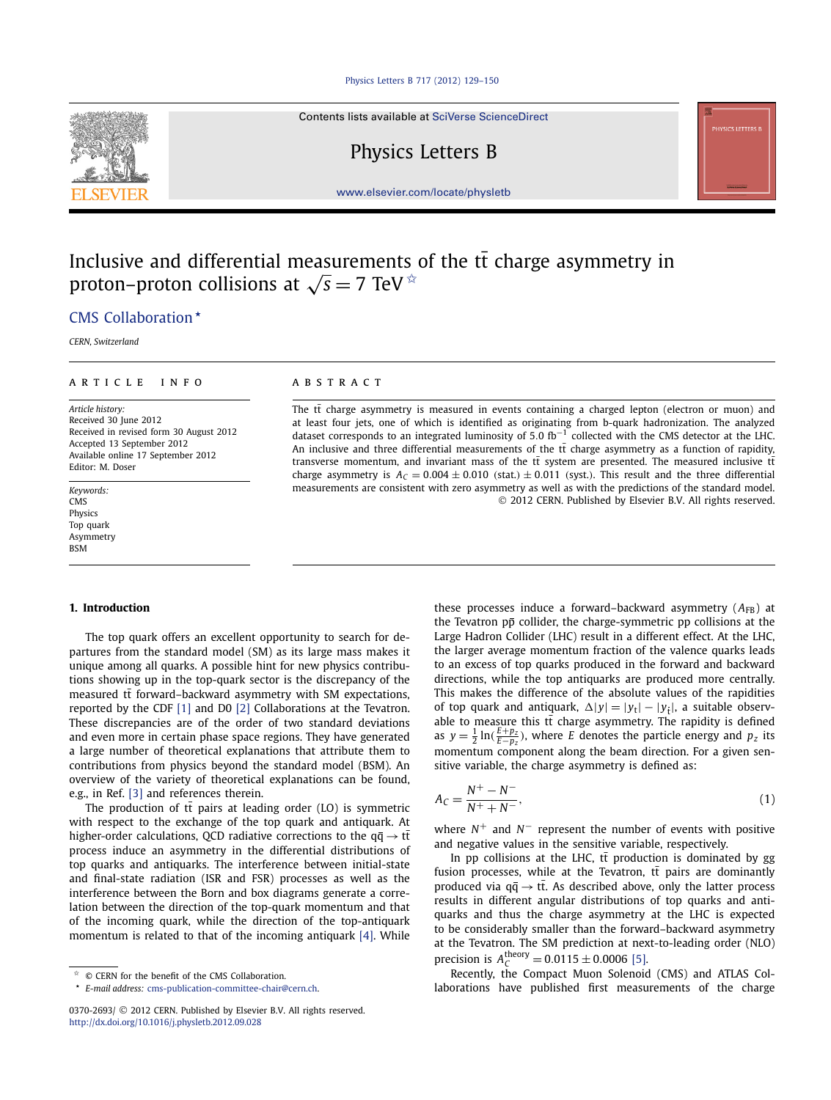#### [Physics Letters B 717 \(2012\) 129–150](http://dx.doi.org/10.1016/j.physletb.2012.09.028)

Contents lists available at [SciVerse ScienceDirect](http://www.ScienceDirect.com/)

Physics Letters B

[www.elsevier.com/locate/physletb](http://www.elsevier.com/locate/physletb)

# Inclusive and differential measurements of the  $t\bar{t}$  charge asymmetry in proton–proton collisions at  $\sqrt{s}$  = 7 TeV  $\overline{x}$

# [.CMS Collaboration](#page-7-0) *-*

*CERN, Switzerland*

#### article info abstract

*Article history:* Received 30 June 2012 Received in revised form 30 August 2012 Accepted 13 September 2012 Available online 17 September 2012 Editor: M. Doser

*Keywords:* CMS Physics Top quark Asymmetry BSM

The tt charge asymmetry is measured in events containing a charged lepton (electron or muon) and at least four jets, one of which is identified as originating from b-quark hadronization. The analyzed dataset corresponds to an integrated luminosity of 5*.*0 fb−<sup>1</sup> collected with the CMS detector at the LHC. An inclusive and three differential measurements of the  $t\bar{t}$  charge asymmetry as a function of rapidity, transverse momentum, and invariant mass of the  $t\bar{t}$  system are presented. The measured inclusive  $t\bar{t}$ charge asymmetry is  $A_C = 0.004 \pm 0.010$  *(stat.)*  $\pm 0.011$  *(syst.).* This result and the three differential measurements are consistent with zero asymmetry as well as with the predictions of the standard model. © 2012 CERN. Published by Elsevier B.V. All rights reserved.

#### **1. Introduction**

The top quark offers an excellent opportunity to search for departures from the standard model (SM) as its large mass makes it unique among all quarks. A possible hint for new physics contributions showing up in the top-quark sector is the discrepancy of the measured tt forward–backward asymmetry with SM expectations. reported by the CDF [\[1\]](#page-7-0) and D0 [\[2\]](#page-7-0) Collaborations at the Tevatron. These discrepancies are of the order of two standard deviations and even more in certain phase space regions. They have generated a large number of theoretical explanations that attribute them to contributions from physics beyond the standard model (BSM). An overview of the variety of theoretical explanations can be found, e.g., in Ref. [\[3\]](#page-7-0) and references therein.

The production of  $t\bar{t}$  pairs at leading order (LO) is symmetric with respect to the exchange of the top quark and antiquark. At higher-order calculations, QCD radiative corrections to the  $q\bar{q} \rightarrow t\bar{t}$ process induce an asymmetry in the differential distributions of top quarks and antiquarks. The interference between initial-state and final-state radiation (ISR and FSR) processes as well as the interference between the Born and box diagrams generate a correlation between the direction of the top-quark momentum and that of the incoming quark, while the direction of the top-antiquark momentum is related to that of the incoming antiquark [\[4\].](#page-7-0) While these processes induce a forward–backward asymmetry  $(A_{FR})$  at the Tevatron pp collider, the charge-symmetric pp collisions at the Large Hadron Collider (LHC) result in a different effect. At the LHC, the larger average momentum fraction of the valence quarks leads to an excess of top quarks produced in the forward and backward directions, while the top antiquarks are produced more centrally. This makes the difference of the absolute values of the rapidities of top quark and antiquark,  $\Delta |y|=|y_t|-|y_t|$ , a suitable observable to measure this  $t\bar{t}$  charge asymmetry. The rapidity is defined as  $y = \frac{1}{2} \ln(\frac{E + p_z}{E - p_z})$ , where *E* denotes the particle energy and  $p_z$  its momentum component along the beam direction. For a given sensitive variable, the charge asymmetry is defined as:

$$
A_C = \frac{N^+ - N^-}{N^+ + N^-},\tag{1}
$$

where *N*+ and *N*− represent the number of events with positive and negative values in the sensitive variable, respectively.

In pp collisions at the LHC,  $t\bar{t}$  production is dominated by gg fusion processes, while at the Tevatron,  $t\bar{t}$  pairs are dominantly produced via  $q\bar{q} \rightarrow t\bar{t}$ . As described above, only the latter process results in different angular distributions of top quarks and antiquarks and thus the charge asymmetry at the LHC is expected to be considerably smaller than the forward–backward asymmetry at the Tevatron. The SM prediction at next-to-leading order (NLO) precision is  $A_C^{\text{theory}} = 0.0115 \pm 0.0006$  [\[5\].](#page-7-0)

Recently, the Compact Muon Solenoid (CMS) and ATLAS Collaborations have published first measurements of the charge



<sup>✩</sup> © CERN for the benefit of the CMS Collaboration.

*<sup>-</sup>E-mail address:* [cms-publication-committee-chair@cern.ch](mailto:cms-publication-committee-chair@cern.ch).

<sup>0370-2693/</sup> © 2012 CERN. Published by Elsevier B.V. All rights reserved. <http://dx.doi.org/10.1016/j.physletb.2012.09.028>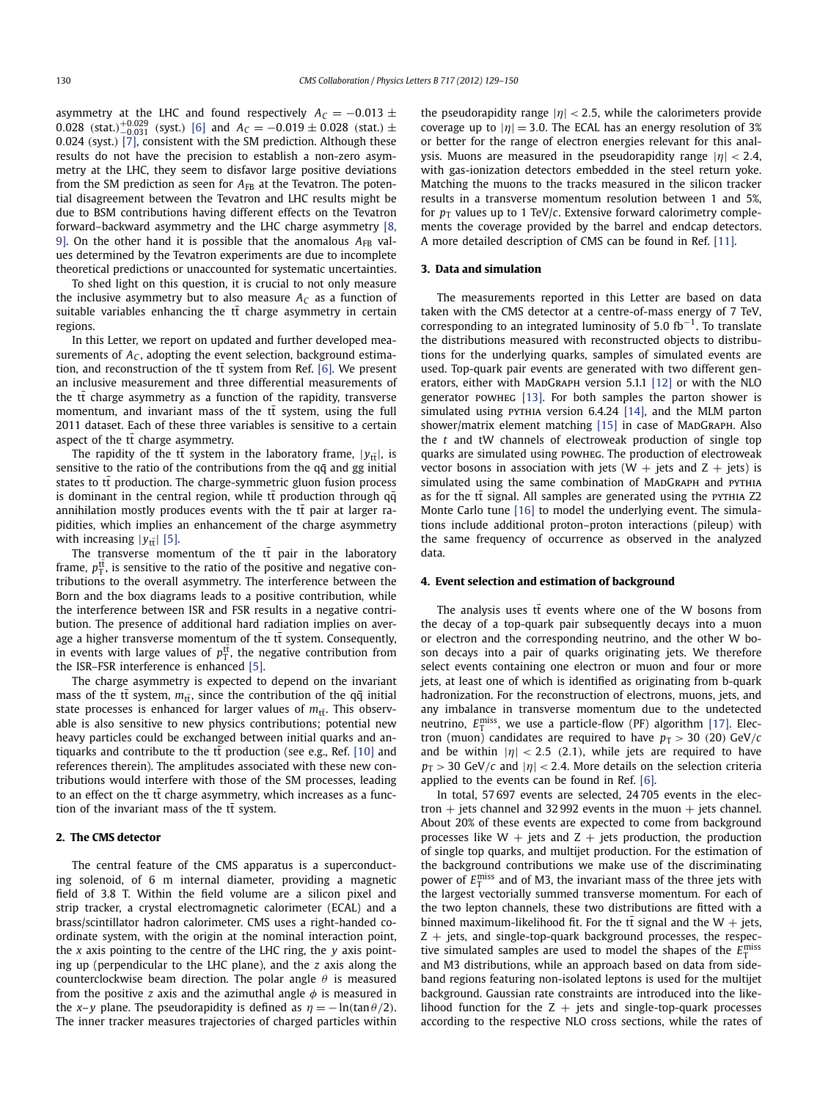asymmetry at the LHC and found respectively  $A_C = -0.013 \pm 0.013$ 0.028  $(\text{stat.}) \frac{+0.029}{-0.031}$   $(\text{syst.})$  [\[6\]](#page-7-0) and  $A_C = -0.019 \pm 0.028$   $(\text{stat.}) \pm 0.024$   $(\text{must.})$  [7] 0*.*024 *(*syst.*)* [\[7\],](#page-7-0) consistent with the SM prediction. Although these results do not have the precision to establish a non-zero asymmetry at the LHC, they seem to disfavor large positive deviations from the SM prediction as seen for  $A_{FB}$  at the Tevatron. The potential disagreement between the Tevatron and LHC results might be due to BSM contributions having different effects on the Tevatron forward–backward asymmetry and the LHC charge asymmetry [\[8,](#page-7-0) [9\].](#page-7-0) On the other hand it is possible that the anomalous  $A_{FR}$  values determined by the Tevatron experiments are due to incomplete theoretical predictions or unaccounted for systematic uncertainties.

To shed light on this question, it is crucial to not only measure the inclusive asymmetry but to also measure  $A_C$  as a function of suitable variables enhancing the  $t\bar{t}$  charge asymmetry in certain regions.

In this Letter, we report on updated and further developed measurements of  $A<sub>C</sub>$ , adopting the event selection, background estimation, and reconstruction of the  $t\bar{t}$  system from Ref. [\[6\].](#page-7-0) We present an inclusive measurement and three differential measurements of the  $t\bar{t}$  charge asymmetry as a function of the rapidity, transverse momentum, and invariant mass of the tt system, using the full 2011 dataset. Each of these three variables is sensitive to a certain aspect of the  $t\bar{t}$  charge asymmetry.

The rapidity of the tt system in the laboratory frame,  $|y_{\text{tf}}|$ , is sensitive to the ratio of the contributions from the  $q\bar{q}$  and gg initial states to  $t\bar{t}$  production. The charge-symmetric gluon fusion process is dominant in the central region, while  $t\bar{t}$  production through  $q\bar{q}$ annihilation mostly produces events with the  $t\bar{t}$  pair at larger rapidities, which implies an enhancement of the charge asymmetry with increasing  $|y_{\text{tf}}|$  [\[5\].](#page-7-0)

The transverse momentum of the tt pair in the laboratory frame,  $p_{\text{T}}^{\text{tt}}$ , is sensitive to the ratio of the positive and negative contributions to the overall asymmetry. The interference between the Born and the box diagrams leads to a positive contribution, while the interference between ISR and FSR results in a negative contribution. The presence of additional hard radiation implies on average a higher transverse momentum of the tt system. Consequently, in events with large values of  $p_{\text{T}}^{\text{tt}}$ , the negative contribution from the ISR–FSR interference is enhanced [\[5\].](#page-7-0)

The charge asymmetry is expected to depend on the invariant mass of the tt system,  $m_{\text{tf}}$ , since the contribution of the  $q\bar{q}$  initial state processes is enhanced for larger values of  $m_{t\bar{t}}$ . This observable is also sensitive to new physics contributions; potential new heavy particles could be exchanged between initial quarks and antiquarks and contribute to the  $t\bar{t}$  production (see e.g., Ref. [\[10\]](#page-7-0) and references therein). The amplitudes associated with these new contributions would interfere with those of the SM processes, leading to an effect on the  $t\bar{t}$  charge asymmetry, which increases as a function of the invariant mass of the tt system.

#### **2. The CMS detector**

The central feature of the CMS apparatus is a superconducting solenoid, of 6 m internal diameter, providing a magnetic field of 3.8 T. Within the field volume are a silicon pixel and strip tracker, a crystal electromagnetic calorimeter (ECAL) and a brass/scintillator hadron calorimeter. CMS uses a right-handed coordinate system, with the origin at the nominal interaction point, the *x* axis pointing to the centre of the LHC ring, the *y* axis pointing up (perpendicular to the LHC plane), and the *z* axis along the counterclockwise beam direction. The polar angle *θ* is measured from the positive *z* axis and the azimuthal angle  $\phi$  is measured in the *x*–*y* plane. The pseudorapidity is defined as  $\eta = -\ln(\tan \theta/2)$ . The inner tracker measures trajectories of charged particles within the pseudorapidity range |*η*| *<* <sup>2</sup>*.*5, while the calorimeters provide coverage up to  $|\eta| = 3.0$ . The ECAL has an energy resolution of 3% or better for the range of electron energies relevant for this analysis. Muons are measured in the pseudorapidity range |*η*| *<* <sup>2</sup>*.*4, with gas-ionization detectors embedded in the steel return yoke. Matching the muons to the tracks measured in the silicon tracker results in a transverse momentum resolution between 1 and 5%, for  $p_T$  values up to 1 TeV/*c*. Extensive forward calorimetry complements the coverage provided by the barrel and endcap detectors. A more detailed description of CMS can be found in Ref. [\[11\].](#page-7-0)

#### **3. Data and simulation**

The measurements reported in this Letter are based on data taken with the CMS detector at a centre-of-mass energy of 7 TeV, corresponding to an integrated luminosity of 5*.*0 fb<sup>−</sup>1. To translate the distributions measured with reconstructed objects to distributions for the underlying quarks, samples of simulated events are used. Top-quark pair events are generated with two different gen-erators, either with MADGRAPH version 5.1.1 [\[12\]](#page-7-0) or with the NLO generator powheg [\[13\].](#page-7-0) For both samples the parton shower is simulated using PYTHIA version 6.4.24 [\[14\],](#page-7-0) and the MLM parton shower/matrix element matching [\[15\]](#page-7-0) in case of MADGRAPH. Also the *t* and tW channels of electroweak production of single top quarks are simulated using powheg. The production of electroweak vector bosons in association with jets ( $W +$  jets and  $Z +$  jets) is simulated using the same combination of MADGRAPH and PYTHIA as for the  $t\bar{t}$  signal. All samples are generated using the PYTHIA Z2 Monte Carlo tune [\[16\]](#page-7-0) to model the underlying event. The simulations include additional proton–proton interactions (pileup) with the same frequency of occurrence as observed in the analyzed data.

#### **4. Event selection and estimation of background**

The analysis uses  $t\bar{t}$  events where one of the W bosons from the decay of a top-quark pair subsequently decays into a muon or electron and the corresponding neutrino, and the other W boson decays into a pair of quarks originating jets. We therefore select events containing one electron or muon and four or more jets, at least one of which is identified as originating from b-quark hadronization. For the reconstruction of electrons, muons, jets, and any imbalance in transverse momentum due to the undetected neutrino,  $E_{\text{T}}^{\text{miss}}$ , we use a particle-flow (PF) algorithm [\[17\].](#page-7-0) Electron (muon) candidates are required to have  $p_T > 30$  (20) GeV/*c* and be within  $|\eta| < 2.5$  (2.1), while jets are required to have  $p_T > 30$  GeV/*c* and  $|\eta| < 2.4$ . More details on the selection criteria applied to the events can be found in Ref. [\[6\].](#page-7-0)

In total, 57 697 events are selected, 24 705 events in the electron  $+$  jets channel and 32 992 events in the muon  $+$  jets channel. About 20% of these events are expected to come from background processes like  $W +$  jets and  $Z +$  jets production, the production of single top quarks, and multijet production. For the estimation of the background contributions we make use of the discriminating power of  $E_{\rm T}^{\rm miss}$  and of M3, the invariant mass of the three jets with the largest vectorially summed transverse momentum. For each of the two lepton channels, these two distributions are fitted with a binned maximum-likelihood fit. For the  $t\bar{t}$  signal and the W  $+$  jets,  $Z +$  jets, and single-top-quark background processes, the respective simulated samples are used to model the shapes of the  $E_{\text{T}}^{\text{miss}}$ and M3 distributions, while an approach based on data from sideband regions featuring non-isolated leptons is used for the multijet background. Gaussian rate constraints are introduced into the likelihood function for the  $Z +$  jets and single-top-quark processes according to the respective NLO cross sections, while the rates of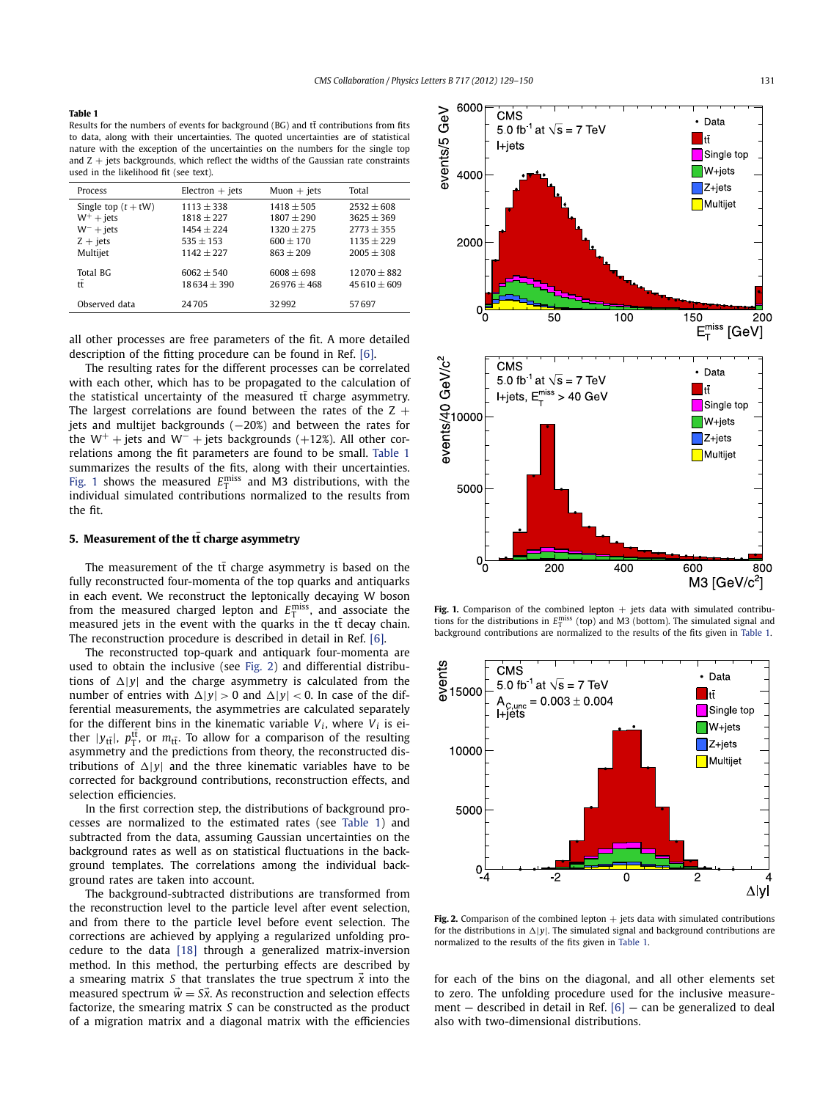<span id="page-2-0"></span>**Table 1**

Results for the numbers of events for background (BG) and  $t\bar{t}$  contributions from fits to data, along with their uncertainties. The quoted uncertainties are of statistical nature with the exception of the uncertainties on the numbers for the single top and  $Z$  + jets backgrounds, which reflect the widths of the Gaussian rate constraints used in the likelihood fit (see text).

| Process                                                                         | $Electron + jets$                                                             | $Muon + jets$                                                                | Total                                                                        |
|---------------------------------------------------------------------------------|-------------------------------------------------------------------------------|------------------------------------------------------------------------------|------------------------------------------------------------------------------|
| Single top $(t + tW)$<br>$W^+$ + jets<br>$W^-$ + jets<br>$Z + jets$<br>Multijet | $1113 + 338$<br>$1818 \pm 227$<br>$1454 + 224$<br>$535 + 153$<br>$1142 + 227$ | $1418 \pm 505$<br>$1807 + 290$<br>$1320 + 275$<br>$600 + 170$<br>$863 + 209$ | $2532 + 608$<br>$3625 + 369$<br>$2773 + 355$<br>$1135 + 229$<br>$2005 + 308$ |
| Total BG<br>tĒ                                                                  | $6062 + 540$<br>$18634 + 390$                                                 | $6008 + 698$<br>$26976 + 468$                                                | $12070 + 882$<br>$45610 + 609$                                               |
| Observed data                                                                   | 24705                                                                         | 32992                                                                        | 57697                                                                        |

all other processes are free parameters of the fit. A more detailed description of the fitting procedure can be found in Ref. [\[6\].](#page-7-0)

The resulting rates for the different processes can be correlated with each other, which has to be propagated to the calculation of the statistical uncertainty of the measured  $t\bar{t}$  charge asymmetry. The largest correlations are found between the rates of the  $Z +$ jets and multijet backgrounds (-20%) and between the rates for the W<sup>+</sup> + jets and W<sup>-</sup> + jets backgrounds (+12%). All other correlations among the fit parameters are found to be small. Table 1 summarizes the results of the fits, along with their uncertainties. Fig. 1 shows the measured  $E_{\text{T}}^{\text{miss}}$  and M3 distributions, with the individual simulated contributions normalized to the results from the fit.

#### **5. Measurement of the tt charge asymmetry**

The measurement of the  $t\bar{t}$  charge asymmetry is based on the fully reconstructed four-momenta of the top quarks and antiquarks in each event. We reconstruct the leptonically decaying W boson from the measured charged lepton and  $E_{\text{T}}^{\text{miss}}$ , and associate the measured jets in the event with the quarks in the  $t\bar{t}$  decay chain. The reconstruction procedure is described in detail in Ref. [\[6\].](#page-7-0)

The reconstructed top-quark and antiquark four-momenta are used to obtain the inclusive (see Fig. 2) and differential distributions of  $\Delta |y|$  and the charge asymmetry is calculated from the number of entries with  $\Delta |y| > 0$  and  $\Delta |y| < 0$ . In case of the differential measurements, the asymmetries are calculated separately for the different bins in the kinematic variable  $V_i$ , where  $V_i$  is either  $|y_{\text{tf}}|$ ,  $p_{\text{T}}^{\text{tt}}$ , or  $m_{\text{tf}}$ . To allow for a comparison of the resulting asymmetry and the predictions from theory, the reconstructed distributions of  $\Delta |y|$  and the three kinematic variables have to be corrected for background contributions, reconstruction effects, and selection efficiencies.

In the first correction step, the distributions of background processes are normalized to the estimated rates (see Table 1) and subtracted from the data, assuming Gaussian uncertainties on the background rates as well as on statistical fluctuations in the background templates. The correlations among the individual background rates are taken into account.

The background-subtracted distributions are transformed from the reconstruction level to the particle level after event selection, and from there to the particle level before event selection. The corrections are achieved by applying a regularized unfolding procedure to the data [\[18\]](#page-7-0) through a generalized matrix-inversion method. In this method, the perturbing effects are described by a smearing matrix *S* that translates the true spectrum  $\vec{x}$  into the measured spectrum  $\vec{w} = S\vec{x}$ . As reconstruction and selection effects factorize, the smearing matrix *S* can be constructed as the product of a migration matrix and a diagonal matrix with the efficiencies



Fig. 1. Comparison of the combined lepton + jets data with simulated contributions for the distributions in  $E_{\text{T}}^{\text{miss}}$  (top) and M3 (bottom). The simulated signal and background contributions are normalized to the results of the fits given in Table 1.



**Fig. 2.** Comparison of the combined lepton  $+$  jets data with simulated contributions for the distributions in  $\Delta |y|$ . The simulated signal and background contributions are normalized to the results of the fits given in Table 1.

for each of the bins on the diagonal, and all other elements set to zero. The unfolding procedure used for the inclusive measurement  $-$  described in detail in Ref.  $[6]$   $-$  can be generalized to deal also with two-dimensional distributions.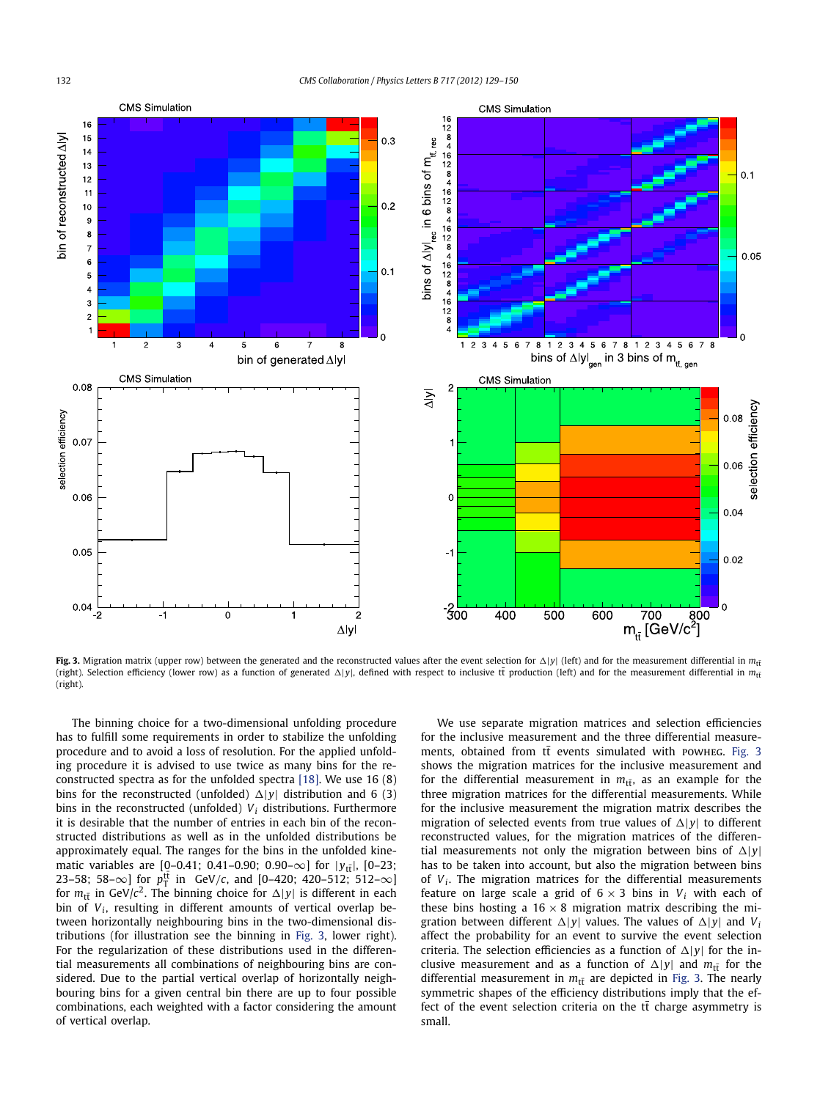

**Fig. 3.** Migration matrix (upper row) between the generated and the reconstructed values after the event selection for  $\Delta |y|$  (left) and for the measurement differential in  $m_{\rm ti}$ (right). Selection efficiency (lower row) as a function of generated  $\Delta|y|$ , defined with respect to inclusive tt production (left) and for the measurement differential in  $m_{\rm ti}$ (right).

The binning choice for a two-dimensional unfolding procedure has to fulfill some requirements in order to stabilize the unfolding procedure and to avoid a loss of resolution. For the applied unfolding procedure it is advised to use twice as many bins for the reconstructed spectra as for the unfolded spectra [\[18\].](#page-7-0) We use 16 (8) bins for the reconstructed (unfolded)  $\Delta |v|$  distribution and 6 (3) bins in the reconstructed (unfolded) *Vi* distributions. Furthermore it is desirable that the number of entries in each bin of the reconstructed distributions as well as in the unfolded distributions be approximately equal. The ranges for the bins in the unfolded kinematic variables are  $[0-0.41; 0.41-0.90; 0.90-\infty]$  for  $|y_{\text{tr}}|$ ,  $[0-23;$ 23–58; 58–∞] for  $p_T^{\text{tt}}$  in GeV/*c*, and [0–420; 420–512; 512–∞] for  $m_{t\bar{t}}$  in GeV/ $c^2$ . The binning choice for  $\Delta |y|$  is different in each bin of *Vi*, resulting in different amounts of vertical overlap between horizontally neighbouring bins in the two-dimensional distributions (for illustration see the binning in Fig. 3, lower right). For the regularization of these distributions used in the differential measurements all combinations of neighbouring bins are considered. Due to the partial vertical overlap of horizontally neighbouring bins for a given central bin there are up to four possible combinations, each weighted with a factor considering the amount of vertical overlap.

We use separate migration matrices and selection efficiencies for the inclusive measurement and the three differential measurements, obtained from  $t\bar{t}$  events simulated with powhec. Fig. 3 shows the migration matrices for the inclusive measurement and for the differential measurement in  $m_{t\bar{t}}$ , as an example for the three migration matrices for the differential measurements. While for the inclusive measurement the migration matrix describes the migration of selected events from true values of  $\Delta |y|$  to different reconstructed values, for the migration matrices of the differential measurements not only the migration between bins of  $\Delta |y|$ has to be taken into account, but also the migration between bins of *Vi*. The migration matrices for the differential measurements feature on large scale a grid of  $6 \times 3$  bins in  $V_i$  with each of these bins hosting a  $16 \times 8$  migration matrix describing the migration between different  $\Delta |y|$  values. The values of  $\Delta |y|$  and  $V_i$ affect the probability for an event to survive the event selection criteria. The selection efficiencies as a function of  $\Delta |y|$  for the inclusive measurement and as a function of  $\Delta |y|$  and  $m_{t\bar{t}}$  for the differential measurement in  $m_{\text{t\bar{t}}}$  are depicted in Fig. 3. The nearly symmetric shapes of the efficiency distributions imply that the effect of the event selection criteria on the  $t\bar{t}$  charge asymmetry is small.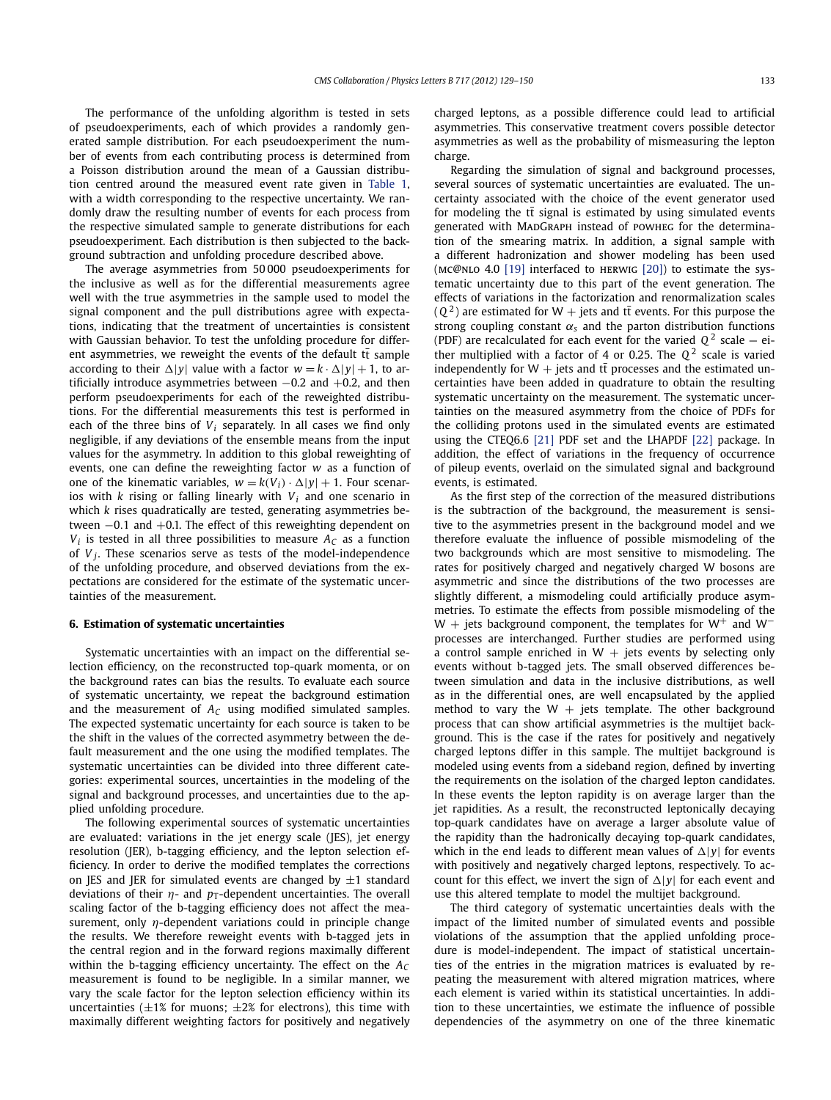The performance of the unfolding algorithm is tested in sets of pseudoexperiments, each of which provides a randomly generated sample distribution. For each pseudoexperiment the number of events from each contributing process is determined from a Poisson distribution around the mean of a Gaussian distribution centred around the measured event rate given in [Table 1,](#page-2-0) with a width corresponding to the respective uncertainty. We randomly draw the resulting number of events for each process from the respective simulated sample to generate distributions for each pseudoexperiment. Each distribution is then subjected to the background subtraction and unfolding procedure described above.

The average asymmetries from 50 000 pseudoexperiments for the inclusive as well as for the differential measurements agree well with the true asymmetries in the sample used to model the signal component and the pull distributions agree with expectations, indicating that the treatment of uncertainties is consistent with Gaussian behavior. To test the unfolding procedure for different asymmetries, we reweight the events of the default  $t\bar{t}$  sample according to their  $\Delta |y|$  value with a factor  $w = k \cdot \Delta |y| + 1$ , to artificially introduce asymmetries between  $-0.2$  and  $+0.2$ , and then perform pseudoexperiments for each of the reweighted distributions. For the differential measurements this test is performed in each of the three bins of  $V_i$  separately. In all cases we find only negligible, if any deviations of the ensemble means from the input values for the asymmetry. In addition to this global reweighting of events, one can define the reweighting factor *w* as a function of one of the kinematic variables,  $w = k(V_i) \cdot \Delta |y| + 1$ . Four scenarios with *k* rising or falling linearly with *Vi* and one scenario in which *k* rises quadratically are tested, generating asymmetries between −0*.*1 and +0.1. The effect of this reweighting dependent on  $V_i$  is tested in all three possibilities to measure  $A_C$  as a function of *V <sup>j</sup>*. These scenarios serve as tests of the model-independence of the unfolding procedure, and observed deviations from the expectations are considered for the estimate of the systematic uncertainties of the measurement.

#### **6. Estimation of systematic uncertainties**

Systematic uncertainties with an impact on the differential selection efficiency, on the reconstructed top-quark momenta, or on the background rates can bias the results. To evaluate each source of systematic uncertainty, we repeat the background estimation and the measurement of  $A<sub>C</sub>$  using modified simulated samples. The expected systematic uncertainty for each source is taken to be the shift in the values of the corrected asymmetry between the default measurement and the one using the modified templates. The systematic uncertainties can be divided into three different categories: experimental sources, uncertainties in the modeling of the signal and background processes, and uncertainties due to the applied unfolding procedure.

The following experimental sources of systematic uncertainties are evaluated: variations in the jet energy scale (JES), jet energy resolution (JER), b-tagging efficiency, and the lepton selection efficiency. In order to derive the modified templates the corrections on JES and JER for simulated events are changed by  $\pm 1$  standard deviations of their  $\eta$ - and  $p_T$ -dependent uncertainties. The overall scaling factor of the b-tagging efficiency does not affect the measurement, only *η*-dependent variations could in principle change the results. We therefore reweight events with b-tagged jets in the central region and in the forward regions maximally different within the b-tagging efficiency uncertainty. The effect on the  $A_C$ measurement is found to be negligible. In a similar manner, we vary the scale factor for the lepton selection efficiency within its uncertainties ( $\pm 1\%$  for muons;  $\pm 2\%$  for electrons), this time with maximally different weighting factors for positively and negatively charged leptons, as a possible difference could lead to artificial asymmetries. This conservative treatment covers possible detector asymmetries as well as the probability of mismeasuring the lepton charge.

Regarding the simulation of signal and background processes, several sources of systematic uncertainties are evaluated. The uncertainty associated with the choice of the event generator used for modeling the  $t\bar{t}$  signal is estimated by using simulated events generated with MADGRAPH instead of POWHEG for the determination of the smearing matrix. In addition, a signal sample with a different hadronization and shower modeling has been used (mc@nlo 4.0 [\[19\]](#page-7-0) interfaced to herwig [\[20\]\)](#page-7-0) to estimate the systematic uncertainty due to this part of the event generation. The effects of variations in the factorization and renormalization scales  $(Q<sup>2</sup>)$  are estimated for W + jets and tt events. For this purpose the strong coupling constant  $\alpha_s$  and the parton distribution functions (PDF) are recalculated for each event for the varied  $Q^2$  scale – either multiplied with a factor of 4 or 0.25. The  $Q^2$  scale is varied independently for  $W +$  jets and tt processes and the estimated uncertainties have been added in quadrature to obtain the resulting systematic uncertainty on the measurement. The systematic uncertainties on the measured asymmetry from the choice of PDFs for the colliding protons used in the simulated events are estimated using the CTEQ6.6 [\[21\]](#page-7-0) PDF set and the LHAPDF [\[22\]](#page-7-0) package. In addition, the effect of variations in the frequency of occurrence of pileup events, overlaid on the simulated signal and background events, is estimated.

As the first step of the correction of the measured distributions is the subtraction of the background, the measurement is sensitive to the asymmetries present in the background model and we therefore evaluate the influence of possible mismodeling of the two backgrounds which are most sensitive to mismodeling. The rates for positively charged and negatively charged W bosons are asymmetric and since the distributions of the two processes are slightly different, a mismodeling could artificially produce asymmetries. To estimate the effects from possible mismodeling of the W + jets background component, the templates for W<sup>+</sup> and W<sup>-</sup> processes are interchanged. Further studies are performed using a control sample enriched in  $W +$  jets events by selecting only events without b-tagged jets. The small observed differences between simulation and data in the inclusive distributions, as well as in the differential ones, are well encapsulated by the applied method to vary the  $W +$  jets template. The other background process that can show artificial asymmetries is the multijet background. This is the case if the rates for positively and negatively charged leptons differ in this sample. The multijet background is modeled using events from a sideband region, defined by inverting the requirements on the isolation of the charged lepton candidates. In these events the lepton rapidity is on average larger than the jet rapidities. As a result, the reconstructed leptonically decaying top-quark candidates have on average a larger absolute value of the rapidity than the hadronically decaying top-quark candidates, which in the end leads to different mean values of  $\Delta |y|$  for events with positively and negatively charged leptons, respectively. To account for this effect, we invert the sign of  $\Delta |y|$  for each event and use this altered template to model the multijet background.

The third category of systematic uncertainties deals with the impact of the limited number of simulated events and possible violations of the assumption that the applied unfolding procedure is model-independent. The impact of statistical uncertainties of the entries in the migration matrices is evaluated by repeating the measurement with altered migration matrices, where each element is varied within its statistical uncertainties. In addition to these uncertainties, we estimate the influence of possible dependencies of the asymmetry on one of the three kinematic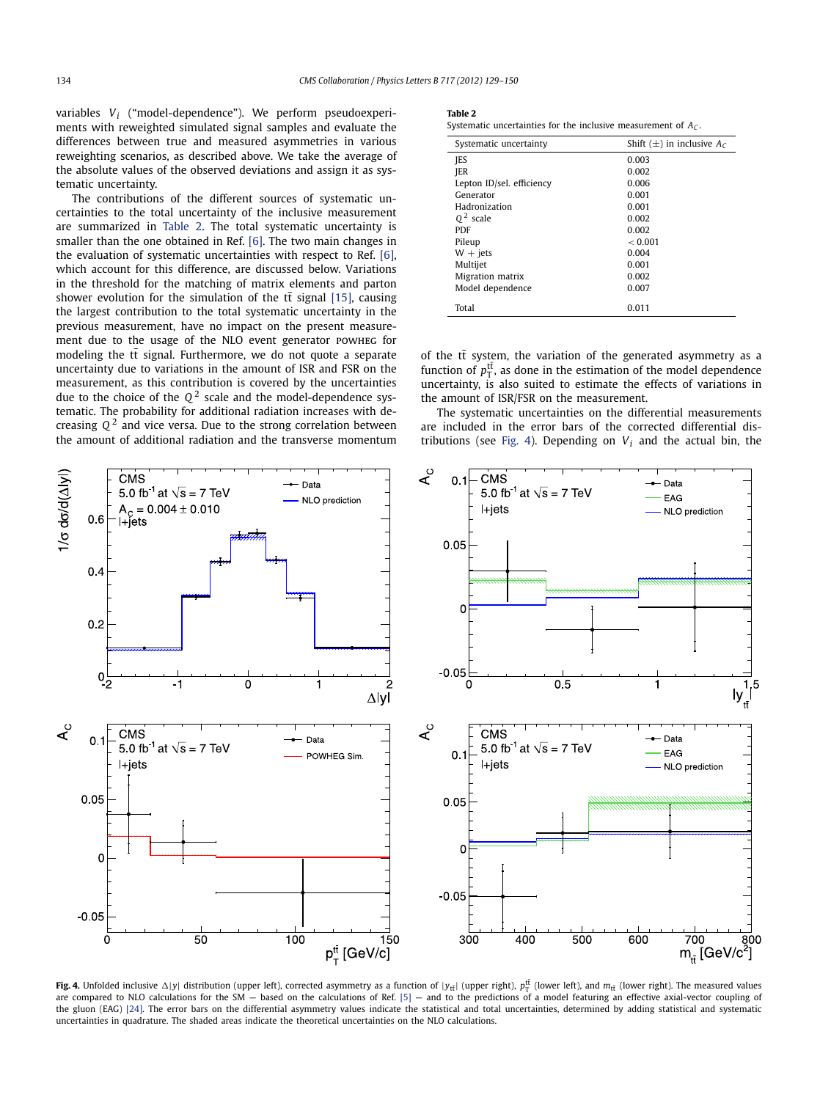<span id="page-5-0"></span>variables *Vi* ("model-dependence"). We perform pseudoexperiments with reweighted simulated signal samples and evaluate the differences between true and measured asymmetries in various reweighting scenarios, as described above. We take the average of the absolute values of the observed deviations and assign it as systematic uncertainty.

The contributions of the different sources of systematic uncertainties to the total uncertainty of the inclusive measurement are summarized in Table 2. The total systematic uncertainty is smaller than the one obtained in Ref. [\[6\].](#page-7-0) The two main changes in the evaluation of systematic uncertainties with respect to Ref. [\[6\],](#page-7-0) which account for this difference, are discussed below. Variations in the threshold for the matching of matrix elements and parton shower evolution for the simulation of the  $t\bar{t}$  signal [\[15\],](#page-7-0) causing the largest contribution to the total systematic uncertainty in the previous measurement, have no impact on the present measurement due to the usage of the NLO event generator powheg for modeling the tt signal. Furthermore, we do not quote a separate uncertainty due to variations in the amount of ISR and FSR on the measurement, as this contribution is covered by the uncertainties due to the choice of the  $Q^2$  scale and the model-dependence systematic. The probability for additional radiation increases with decreasing  $Q^2$  and vice versa. Due to the strong correlation between the amount of additional radiation and the transverse momentum



**Fig. 4.** Unfolded inclusive  $\Delta |y|$  distribution (upper left), corrected asymmetry as a function of  $|y_{\rm tf}|$  (upper right),  $p_{\rm T}^{\rm tr}$  (lower left), and  $m_{\rm tf}$  (lower right). The measured values are compared to NLO calculations for the SM - based on the calculations of Ref. [\[5\]](#page-7-0) - and to the predictions of a model featuring an effective axial-vector coupling of the gluon (EAG) [\[24\].](#page-7-0) The error bars on the differential asymmetry values indicate the statistical and total uncertainties, determined by adding statistical and systematic uncertainties in quadrature. The shaded areas indicate the theoretical uncertainties on the NLO calculations.

| Table 2                                                           |  |
|-------------------------------------------------------------------|--|
| Systematic uncertainties for the inclusive measurement of $A_C$ . |  |

| Systematic uncertainty    | Shift ( $\pm$ ) in inclusive $A_C$ |
|---------------------------|------------------------------------|
| <b>IES</b>                | 0.003                              |
| <b>IER</b>                | 0.002                              |
| Lepton ID/sel. efficiency | 0.006                              |
| Generator                 | 0.001                              |
| Hadronization             | 0.001                              |
| $Q^2$ scale               | 0.002                              |
| <b>PDF</b>                | 0.002                              |
| Pileup                    | < 0.001                            |
| $W +$ jets                | 0.004                              |
| Multijet                  | 0.001                              |
| Migration matrix          | 0.002                              |
| Model dependence          | 0.007                              |
| Total                     | 0.011                              |

of the  $t\bar{t}$  system, the variation of the generated asymmetry as a function of  $p_T^{\text{tt}}$ , as done in the estimation of the model dependence uncertainty, is also suited to estimate the effects of variations in the amount of ISR/FSR on the measurement.

The systematic uncertainties on the differential measurements are included in the error bars of the corrected differential distributions (see Fig. 4). Depending on  $V_i$  and the actual bin, the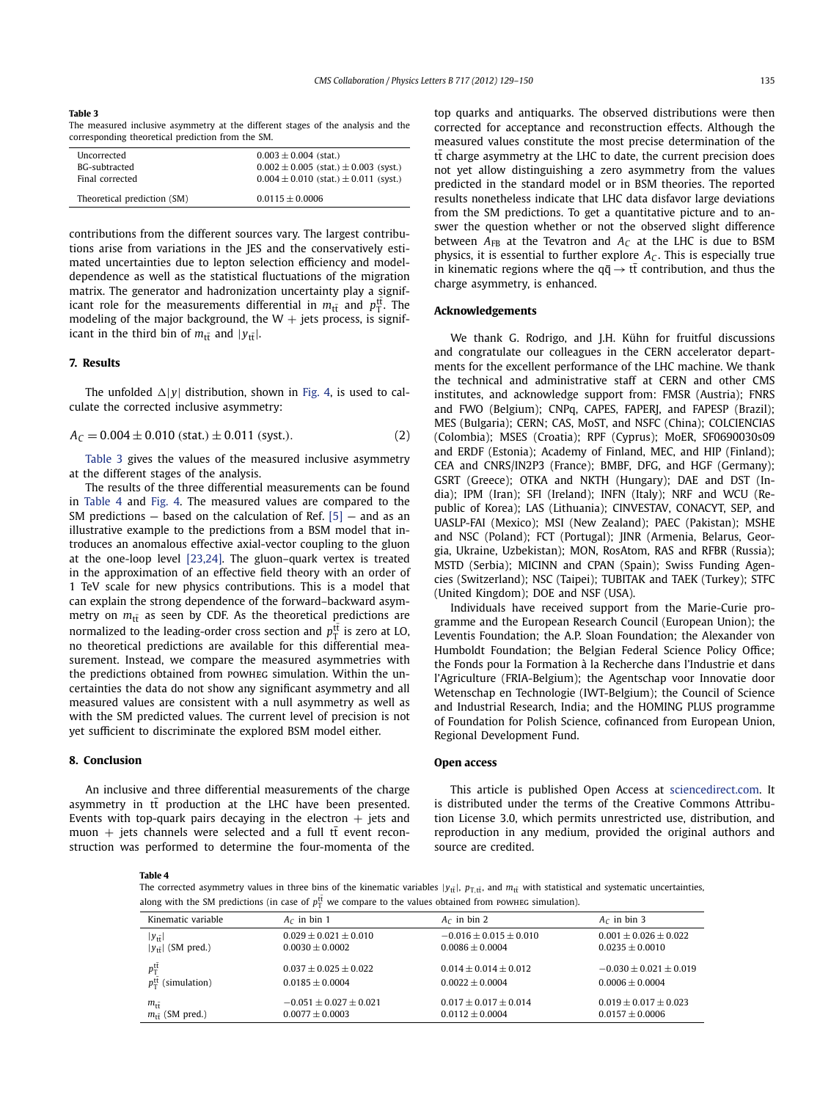#### **Table 3**

The measured inclusive asymmetry at the different stages of the analysis and the corresponding theoretical prediction from the SM.

| Uncorrected                 | $0.003 \pm 0.004$ (stat.)                     |
|-----------------------------|-----------------------------------------------|
| BG-subtracted               | $0.002 \pm 0.005$ (stat.) $\pm 0.003$ (syst.) |
| Final corrected             | $0.004 \pm 0.010$ (stat.) $\pm 0.011$ (syst.) |
| Theoretical prediction (SM) | $0.0115 + 0.0006$                             |

contributions from the different sources vary. The largest contributions arise from variations in the JES and the conservatively estimated uncertainties due to lepton selection efficiency and modeldependence as well as the statistical fluctuations of the migration matrix. The generator and hadronization uncertainty play a significant role for the measurements differential in  $m_{\text{t}t}$  and  $p_{\text{T}}^{\text{tt}}$ . The modeling of the major background, the  $W +$  jets process, is significant in the third bin of  $m_{\tilde{t}}$  and  $|y_{\tilde{t}}|$ .

#### **7. Results**

The unfolded  $\Delta |y|$  distribution, shown in [Fig. 4,](#page-5-0) is used to calculate the corrected inclusive asymmetry:

$$
A_C = 0.004 \pm 0.010 \text{ (stat.)} \pm 0.011 \text{ (syst.)}. \tag{2}
$$

Table 3 gives the values of the measured inclusive asymmetry at the different stages of the analysis.

The results of the three differential measurements can be found in Table 4 and [Fig. 4.](#page-5-0) The measured values are compared to the SM predictions  $-$  based on the calculation of Ref.  $[5]$   $-$  and as an illustrative example to the predictions from a BSM model that introduces an anomalous effective axial-vector coupling to the gluon at the one-loop level [\[23,24\].](#page-7-0) The gluon–quark vertex is treated in the approximation of an effective field theory with an order of 1 TeV scale for new physics contributions. This is a model that can explain the strong dependence of the forward–backward asymmetry on  $m_{t\bar{t}}$  as seen by CDF. As the theoretical predictions are normalized to the leading-order cross section and  $p_{\textrm{T}}^{\textrm{tt}}$  is zero at LO, no theoretical predictions are available for this differential measurement. Instead, we compare the measured asymmetries with the predictions obtained from powheg simulation. Within the uncertainties the data do not show any significant asymmetry and all measured values are consistent with a null asymmetry as well as with the SM predicted values. The current level of precision is not yet sufficient to discriminate the explored BSM model either.

#### **8. Conclusion**

An inclusive and three differential measurements of the charge asymmetry in  $t\bar{t}$  production at the LHC have been presented. Events with top-quark pairs decaying in the electron  $+$  jets and muon  $+$  jets channels were selected and a full  $t\bar{t}$  event reconstruction was performed to determine the four-momenta of the top quarks and antiquarks. The observed distributions were then corrected for acceptance and reconstruction effects. Although the measured values constitute the most precise determination of the tt charge asymmetry at the LHC to date, the current precision does not yet allow distinguishing a zero asymmetry from the values predicted in the standard model or in BSM theories. The reported results nonetheless indicate that LHC data disfavor large deviations from the SM predictions. To get a quantitative picture and to answer the question whether or not the observed slight difference between  $A_{FB}$  at the Tevatron and  $A_C$  at the LHC is due to BSM physics, it is essential to further explore  $A_C$ . This is especially true in kinematic regions where the  $q\bar{q} \rightarrow t\bar{t}$  contribution, and thus the charge asymmetry, is enhanced.

#### **Acknowledgements**

We thank G. Rodrigo, and J.H. Kühn for fruitful discussions and congratulate our colleagues in the CERN accelerator departments for the excellent performance of the LHC machine. We thank the technical and administrative staff at CERN and other CMS institutes, and acknowledge support from: FMSR (Austria); FNRS and FWO (Belgium); CNPq, CAPES, FAPERJ, and FAPESP (Brazil); MES (Bulgaria); CERN; CAS, MoST, and NSFC (China); COLCIENCIAS (Colombia); MSES (Croatia); RPF (Cyprus); MoER, SF0690030s09 and ERDF (Estonia); Academy of Finland, MEC, and HIP (Finland); CEA and CNRS/IN2P3 (France); BMBF, DFG, and HGF (Germany); GSRT (Greece); OTKA and NKTH (Hungary); DAE and DST (India); IPM (Iran); SFI (Ireland); INFN (Italy); NRF and WCU (Republic of Korea); LAS (Lithuania); CINVESTAV, CONACYT, SEP, and UASLP-FAI (Mexico); MSI (New Zealand); PAEC (Pakistan); MSHE and NSC (Poland); FCT (Portugal); JINR (Armenia, Belarus, Georgia, Ukraine, Uzbekistan); MON, RosAtom, RAS and RFBR (Russia); MSTD (Serbia); MICINN and CPAN (Spain); Swiss Funding Agencies (Switzerland); NSC (Taipei); TUBITAK and TAEK (Turkey); STFC (United Kingdom); DOE and NSF (USA).

Individuals have received support from the Marie-Curie programme and the European Research Council (European Union); the Leventis Foundation; the A.P. Sloan Foundation; the Alexander von Humboldt Foundation; the Belgian Federal Science Policy Office; the Fonds pour la Formation à la Recherche dans l'Industrie et dans l'Agriculture (FRIA-Belgium); the Agentschap voor Innovatie door Wetenschap en Technologie (IWT-Belgium); the Council of Science and Industrial Research, India; and the HOMING PLUS programme of Foundation for Polish Science, cofinanced from European Union, Regional Development Fund.

#### **Open access**

This article is published Open Access at [sciencedirect.com.](http://www.sciencedirect.com) It is distributed under the terms of the Creative Commons Attribution License 3.0, which permits unrestricted use, distribution, and reproduction in any medium, provided the original authors and source are credited.

#### **Table 4**

The corrected asymmetry values in three bins of the kinematic variables  $|y_{\rm tf}|$ ,  $p_{\rm T,t\bar{t}},$  and  $m_{\rm t\bar{t}}$  with statistical and systematic uncertainties, along with the SM predictions (in case of  $p_T^{\text{tt}}$  we compare to the values obtained from powheg simulation).

| Kinematic variable                      | $AC$ in bin 1                | $AC$ in bin 2            | $AC$ in bin 3            |
|-----------------------------------------|------------------------------|--------------------------|--------------------------|
| $y_{t\bar{t}}$                          | $0.029 + 0.021 + 0.010$      | $-0.016 + 0.015 + 0.010$ | $0.001 + 0.026 + 0.022$  |
| $ y_{\text{tf}} $ (SM pred.)            | $0.0030 + 0.0002$            | $0.0086 + 0.0004$        | $0.0235 + 0.0010$        |
| $p_{\text{T}}^{\text{t}\bar{\text{t}}}$ | $0.037 + 0.025 + 0.022$      | $0.014 + 0.014 + 0.012$  | $-0.030 + 0.021 + 0.019$ |
| $p_{\rm T}^{\rm tt}$ (simulation)       | $0.0185 + 0.0004$            | $0.0022 + 0.0004$        | $0.0006 + 0.0004$        |
| $m_{t\bar{t}}$                          | $-0.051 \pm 0.027 \pm 0.021$ | $0.017 + 0.017 + 0.014$  | $0.019 + 0.017 + 0.023$  |
| $m_{\rm tf}$ (SM pred.)                 | $0.0077 \pm 0.0003$          | $0.0112 + 0.0004$        | $0.0157 + 0.0006$        |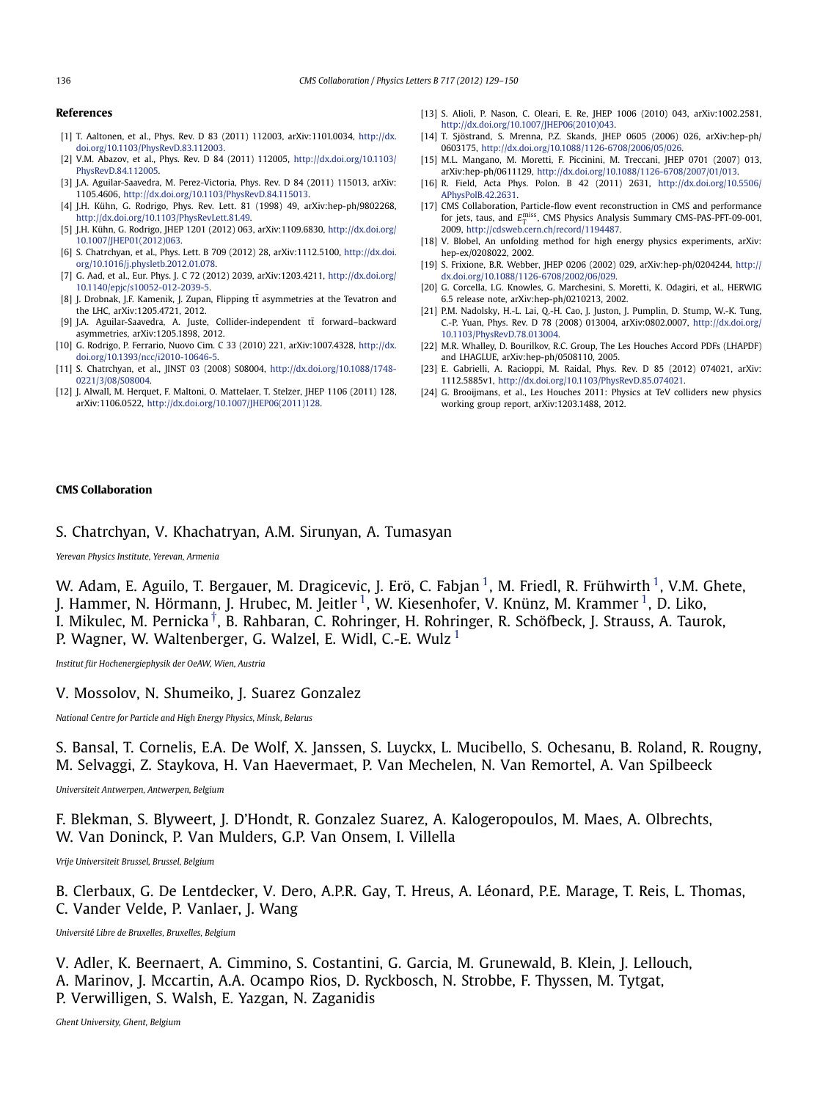- <span id="page-7-0"></span>[1] T. Aaltonen, et al., Phys. Rev. D 83 (2011) 112003, arXiv:1101.0034, [http://dx.](http://dx.doi.org/10.1103/PhysRevD.83.112003) [doi.org/10.1103/PhysRevD.83.112003.](http://dx.doi.org/10.1103/PhysRevD.83.112003)
- [2] V.M. Abazov, et al., Phys. Rev. D 84 (2011) 112005, [http://dx.doi.org/10.1103/](http://dx.doi.org/10.1103/PhysRevD.84.112005) [PhysRevD.84.112005.](http://dx.doi.org/10.1103/PhysRevD.84.112005)
- [3] J.A. Aguilar-Saavedra, M. Perez-Victoria, Phys. Rev. D 84 (2011) 115013, arXiv: 1105.4606, [http://dx.doi.org/10.1103/PhysRevD.84.115013.](http://dx.doi.org/10.1103/PhysRevD.84.115013)
- [4] J.H. Kühn, G. Rodrigo, Phys. Rev. Lett. 81 (1998) 49, arXiv:hep-ph/9802268, [http://dx.doi.org/10.1103/PhysRevLett.81.49.](http://dx.doi.org/10.1103/PhysRevLett.81.49)
- [5] J.H. Kühn, G. Rodrigo, JHEP 1201 (2012) 063, arXiv:1109.6830, [http://dx.doi.org/](http://dx.doi.org/10.1007/JHEP01(2012)063) [10.1007/JHEP01\(2012\)063.](http://dx.doi.org/10.1007/JHEP01(2012)063)
- [6] S. Chatrchyan, et al., Phys. Lett. B 709 (2012) 28, arXiv:1112.5100, [http://dx.doi.](http://dx.doi.org/10.1016/j.physletb.2012.01.078) [org/10.1016/j.physletb.2012.01.078.](http://dx.doi.org/10.1016/j.physletb.2012.01.078)
- [7] G. Aad, et al., Eur. Phys. J. C 72 (2012) 2039, arXiv:1203.4211, [http://dx.doi.org/](http://dx.doi.org/10.1140/epjc/s10052-012-2039-5) [10.1140/epjc/s10052-012-2039-5.](http://dx.doi.org/10.1140/epjc/s10052-012-2039-5)
- [8] J. Drobnak, J.F. Kamenik, J. Zupan, Flipping tt asymmetries at the Tevatron and the LHC, arXiv:1205.4721, 2012.
- [9] J.A. Aguilar-Saavedra, A. Juste, Collider-independent tt forward-backward asymmetries, arXiv:1205.1898, 2012.
- [10] G. Rodrigo, P. Ferrario, Nuovo Cim. C 33 (2010) 221, arXiv:1007.4328, [http://dx.](http://dx.doi.org/10.1393/ncc/i2010-10646-5) [doi.org/10.1393/ncc/i2010-10646-5.](http://dx.doi.org/10.1393/ncc/i2010-10646-5)
- [11] S. Chatrchyan, et al., JINST 03 (2008) S08004, [http://dx.doi.org/10.1088/1748-](http://dx.doi.org/10.1088/1748-0221/3/08/S08004) [0221/3/08/S08004.](http://dx.doi.org/10.1088/1748-0221/3/08/S08004)
- [12] J. Alwall, M. Herquet, F. Maltoni, O. Mattelaer, T. Stelzer, JHEP 1106 (2011) 128, arXiv:1106.0522, [http://dx.doi.org/10.1007/JHEP06\(2011\)128](http://dx.doi.org/10.1007/JHEP06(2011)128).
- [13] S. Alioli, P. Nason, C. Oleari, E. Re, JHEP 1006 (2010) 043, arXiv:1002.2581, [http://dx.doi.org/10.1007/JHEP06\(2010\)043](http://dx.doi.org/10.1007/JHEP06(2010)043).
- [14] T. Sjöstrand, S. Mrenna, P.Z. Skands, JHEP 0605 (2006) 026, arXiv:hep-ph/ 0603175, [http://dx.doi.org/10.1088/1126-6708/2006/05/026.](http://dx.doi.org/10.1088/1126-6708/2006/05/026)
- [15] M.L. Mangano, M. Moretti, F. Piccinini, M. Treccani, JHEP 0701 (2007) 013, arXiv:hep-ph/0611129, [http://dx.doi.org/10.1088/1126-6708/2007/01/013.](http://dx.doi.org/10.1088/1126-6708/2007/01/013)
- [16] R. Field, Acta Phys. Polon. B 42 (2011) 2631, [http://dx.doi.org/10.5506/](http://dx.doi.org/10.5506/APhysPolB.42.2631) [APhysPolB.42.2631.](http://dx.doi.org/10.5506/APhysPolB.42.2631)
- [17] CMS Collaboration, Particle-flow event reconstruction in CMS and performance for jets, taus, and  $E_T^{\text{miss}}$ , CMS Physics Analysis Summary CMS-PAS-PFT-09-001, 2009, <http://cdsweb.cern.ch/record/1194487>.
- [18] V. Blobel, An unfolding method for high energy physics experiments, arXiv: hep-ex/0208022, 2002.
- [19] S. Frixione, B.R. Webber, JHEP 0206 (2002) 029, arXiv:hep-ph/0204244, [http://](http://dx.doi.org/10.1088/1126-6708/2002/06/029) [dx.doi.org/10.1088/1126-6708/2002/06/029.](http://dx.doi.org/10.1088/1126-6708/2002/06/029)
- [20] G. Corcella, I.G. Knowles, G. Marchesini, S. Moretti, K. Odagiri, et al., HERWIG 6.5 release note, arXiv:hep-ph/0210213, 2002.
- [21] P.M. Nadolsky, H.-L. Lai, Q.-H. Cao, J. Juston, J. Pumplin, D. Stump, W.-K. Tung, C.-P. Yuan, Phys. Rev. D 78 (2008) 013004, arXiv:0802.0007, [http://dx.doi.org/](http://dx.doi.org/10.1103/PhysRevD.78.013004) [10.1103/PhysRevD.78.013004.](http://dx.doi.org/10.1103/PhysRevD.78.013004)
- [22] M.R. Whalley, D. Bourilkov, R.C. Group, The Les Houches Accord PDFs (LHAPDF) and LHAGLUE, arXiv:hep-ph/0508110, 2005.
- [23] E. Gabrielli, A. Racioppi, M. Raidal, Phys. Rev. D 85 (2012) 074021, arXiv: 1112.5885v1, <http://dx.doi.org/10.1103/PhysRevD.85.074021>.
- [24] G. Brooijmans, et al., Les Houches 2011: Physics at TeV colliders new physics working group report, arXiv:1203.1488, 2012.

#### **CMS Collaboration**

#### S. Chatrchyan, V. Khachatryan, A.M. Sirunyan, A. Tumasyan

*Yerevan Physics Institute, Yerevan, Armenia*

W. Adam, E. Aguilo, T. Bergauer, M. Dragicevic, J. Erö, C. Fabjan<sup>[1](#page-20-0)</sup>, M. Friedl, R. Frühwirth<sup>1</sup>. V.M. Ghete. J. Hammer, N. Hörmann, J. Hrubec, M. Jeitler <sup>1</sup>, W. Kiesenhofer, V. Knünz, M. Krammer <sup>1</sup>, D. Liko, I. Mikulec, M. Pernicka <sup>†</sup>, B. Rahbaran, C. Rohringer, H. Rohringer, R. Schöfbeck, J. Strauss, A. Taurok, P. Wagner, W. Waltenberger, G. Walzel, E. Widl, C.-E. Wulz [1](#page-20-0)

*Institut für Hochenergiephysik der OeAW, Wien, Austria*

#### V. Mossolov, N. Shumeiko, J. Suarez Gonzalez

*National Centre for Particle and High Energy Physics, Minsk, Belarus*

S. Bansal, T. Cornelis, E.A. De Wolf, X. Janssen, S. Luyckx, L. Mucibello, S. Ochesanu, B. Roland, R. Rougny, M. Selvaggi, Z. Staykova, H. Van Haevermaet, P. Van Mechelen, N. Van Remortel, A. Van Spilbeeck

*Universiteit Antwerpen, Antwerpen, Belgium*

F. Blekman, S. Blyweert, J. D'Hondt, R. Gonzalez Suarez, A. Kalogeropoulos, M. Maes, A. Olbrechts, W. Van Doninck, P. Van Mulders, G.P. Van Onsem, I. Villella

*Vrije Universiteit Brussel, Brussel, Belgium*

B. Clerbaux, G. De Lentdecker, V. Dero, A.P.R. Gay, T. Hreus, A. Léonard, P.E. Marage, T. Reis, L. Thomas, C. Vander Velde, P. Vanlaer, J. Wang

*Université Libre de Bruxelles, Bruxelles, Belgium*

V. Adler, K. Beernaert, A. Cimmino, S. Costantini, G. Garcia, M. Grunewald, B. Klein, J. Lellouch, A. Marinov, J. Mccartin, A.A. Ocampo Rios, D. Ryckbosch, N. Strobbe, F. Thyssen, M. Tytgat, P. Verwilligen, S. Walsh, E. Yazgan, N. Zaganidis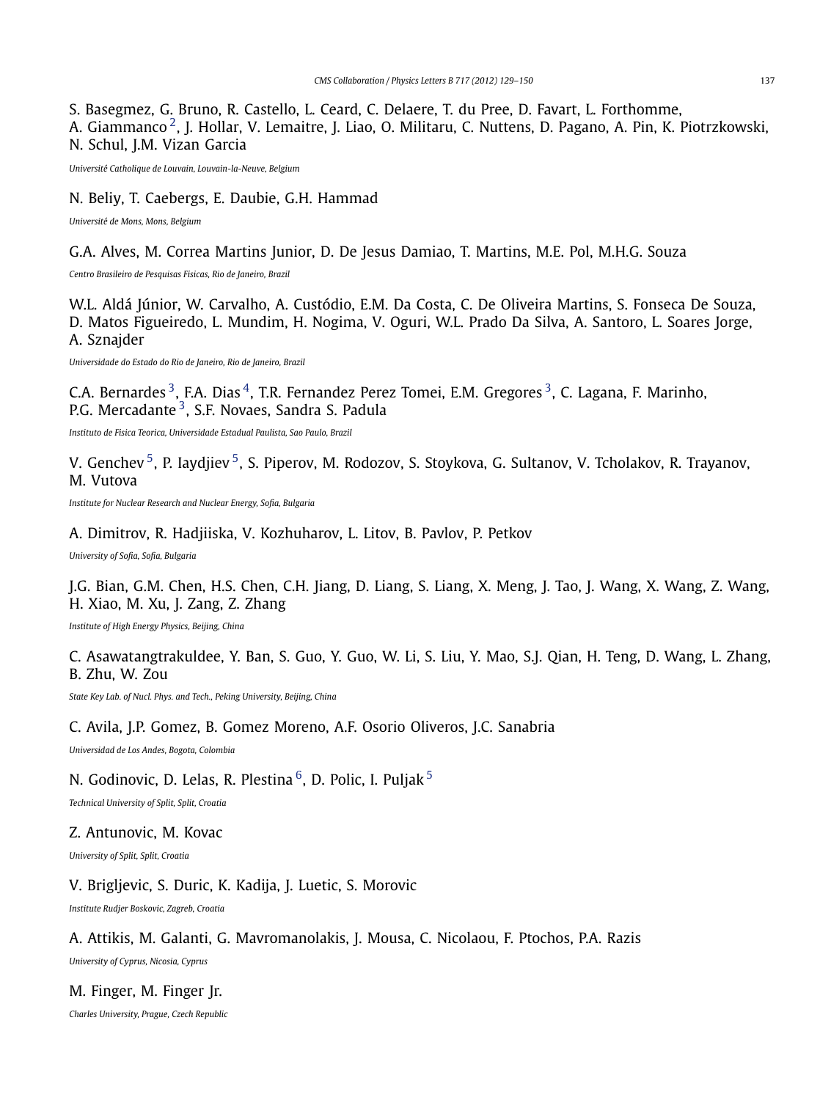S. Basegmez, G. Bruno, R. Castello, L. Ceard, C. Delaere, T. du Pree, D. Favart, L. Forthomme, A. Giammanco [2,](#page-20-0) J. Hollar, V. Lemaitre, J. Liao, O. Militaru, C. Nuttens, D. Pagano, A. Pin, K. Piotrzkowski, N. Schul, J.M. Vizan Garcia

*Université Catholique de Louvain, Louvain-la-Neuve, Belgium*

### N. Beliy, T. Caebergs, E. Daubie, G.H. Hammad

*Université de Mons, Mons, Belgium*

G.A. Alves, M. Correa Martins Junior, D. De Jesus Damiao, T. Martins, M.E. Pol, M.H.G. Souza

*Centro Brasileiro de Pesquisas Fisicas, Rio de Janeiro, Brazil*

W.L. Aldá Júnior, W. Carvalho, A. Custódio, E.M. Da Costa, C. De Oliveira Martins, S. Fonseca De Souza, D. Matos Figueiredo, L. Mundim, H. Nogima, V. Oguri, W.L. Prado Da Silva, A. Santoro, L. Soares Jorge, A. Sznajder

*Universidade do Estado do Rio de Janeiro, Rio de Janeiro, Brazil*

C.A. Bernardes<sup>3</sup>, F.A. Dias<sup>4</sup>, T.R. Fernandez Perez Tomei, E.M. Gregores<sup>3</sup>, C. Lagana, F. Marinho, P.G. Mercadante<sup>3</sup>, S.F. Novaes, Sandra S. Padula

*Instituto de Fisica Teorica, Universidade Estadual Paulista, Sao Paulo, Brazil*

V. Genchev<sup>5</sup>, P. Iaydiiev<sup>5</sup>, S. Piperov, M. Rodozov, S. Stoykova, G. Sultanov, V. Tcholakov, R. Trayanov, M. Vutova

*Institute for Nuclear Research and Nuclear Energy, Sofia, Bulgaria*

#### A. Dimitrov, R. Hadjiiska, V. Kozhuharov, L. Litov, B. Pavlov, P. Petkov

*University of Sofia, Sofia, Bulgaria*

J.G. Bian, G.M. Chen, H.S. Chen, C.H. Jiang, D. Liang, S. Liang, X. Meng, J. Tao, J. Wang, X. Wang, Z. Wang, H. Xiao, M. Xu, J. Zang, Z. Zhang

*Institute of High Energy Physics, Beijing, China*

# C. Asawatangtrakuldee, Y. Ban, S. Guo, Y. Guo, W. Li, S. Liu, Y. Mao, S.J. Qian, H. Teng, D. Wang, L. Zhang, B. Zhu, W. Zou

*State Key Lab. of Nucl. Phys. and Tech., Peking University, Beijing, China*

#### C. Avila, J.P. Gomez, B. Gomez Moreno, A.F. Osorio Oliveros, J.C. Sanabria

*Universidad de Los Andes, Bogota, Colombia*

# N. Godinovic, D. Lelas, R. Plestina  $<sup>6</sup>$ , D. Polic, I. Puljak  $<sup>5</sup>$  $<sup>5</sup>$  $<sup>5</sup>$ </sup></sup>

*Technical University of Split, Split, Croatia*

#### Z. Antunovic, M. Kovac

*University of Split, Split, Croatia*

#### V. Brigljevic, S. Duric, K. Kadija, J. Luetic, S. Morovic

*Institute Rudjer Boskovic, Zagreb, Croatia*

#### A. Attikis, M. Galanti, G. Mavromanolakis, J. Mousa, C. Nicolaou, F. Ptochos, P.A. Razis

*University of Cyprus, Nicosia, Cyprus*

M. Finger, M. Finger Jr.

*Charles University, Prague, Czech Republic*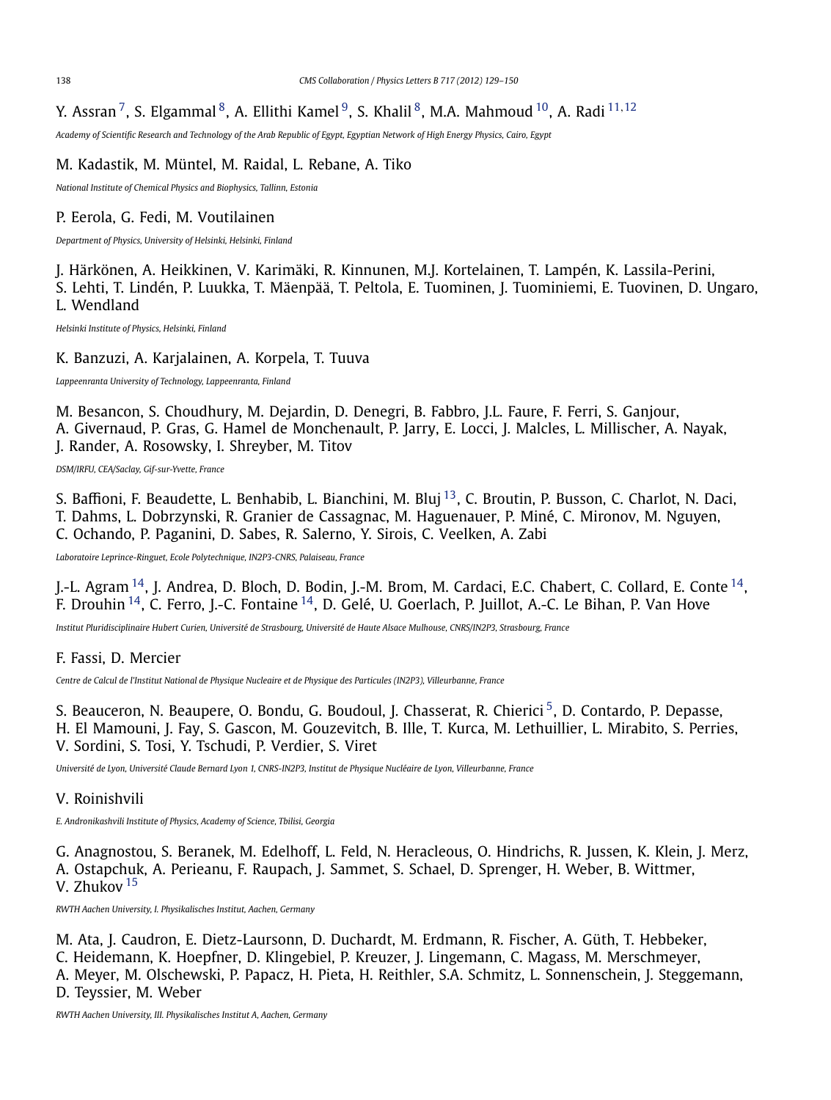# Y. Assran<sup>7</sup>, S. Elgammal<sup>[8](#page-20-0)</sup>, A. Ellithi Kamel<sup>9</sup>, S. Khalil<sup>8</sup>, M.A. Mahmoud <sup>[10](#page-20-0)</sup>, A. Radi <sup>[11](#page-20-0), [12](#page-20-0)</sup>

*Academy of Scientific Research and Technology of the Arab Republic of Egypt, Egyptian Network of High Energy Physics, Cairo, Egypt*

## M. Kadastik, M. Müntel, M. Raidal, L. Rebane, A. Tiko

*National Institute of Chemical Physics and Biophysics, Tallinn, Estonia*

## P. Eerola, G. Fedi, M. Voutilainen

*Department of Physics, University of Helsinki, Helsinki, Finland*

J. Härkönen, A. Heikkinen, V. Karimäki, R. Kinnunen, M.J. Kortelainen, T. Lampén, K. Lassila-Perini, S. Lehti, T. Lindén, P. Luukka, T. Mäenpää, T. Peltola, E. Tuominen, J. Tuominiemi, E. Tuovinen, D. Ungaro, L. Wendland

*Helsinki Institute of Physics, Helsinki, Finland*

### K. Banzuzi, A. Karjalainen, A. Korpela, T. Tuuva

*Lappeenranta University of Technology, Lappeenranta, Finland*

M. Besancon, S. Choudhury, M. Dejardin, D. Denegri, B. Fabbro, J.L. Faure, F. Ferri, S. Ganjour, A. Givernaud, P. Gras, G. Hamel de Monchenault, P. Jarry, E. Locci, J. Malcles, L. Millischer, A. Nayak, J. Rander, A. Rosowsky, I. Shreyber, M. Titov

*DSM/IRFU, CEA/Saclay, Gif-sur-Yvette, France*

S. Baffioni, F. Beaudette, L. Benhabib, L. Bianchini, M. Bluj [13,](#page-20-0) C. Broutin, P. Busson, C. Charlot, N. Daci, T. Dahms, L. Dobrzynski, R. Granier de Cassagnac, M. Haguenauer, P. Miné, C. Mironov, M. Nguyen, C. Ochando, P. Paganini, D. Sabes, R. Salerno, Y. Sirois, C. Veelken, A. Zabi

*Laboratoire Leprince-Ringuet, Ecole Polytechnique, IN2P3-CNRS, Palaiseau, France*

J.-L. Agram <sup>14</sup>, J. Andrea, D. Bloch, D. Bodin, J.-M. Brom, M. Cardaci, E.C. Chabert, C. Collard, E. Conte <sup>14</sup>, F. Drouhin [14,](#page-20-0) C. Ferro, J.-C. Fontaine [14,](#page-20-0) D. Gelé, U. Goerlach, P. Juillot, A.-C. Le Bihan, P. Van Hove

*Institut Pluridisciplinaire Hubert Curien, Université de Strasbourg, Université de Haute Alsace Mulhouse, CNRS/IN2P3, Strasbourg, France*

## F. Fassi, D. Mercier

*Centre de Calcul de l'Institut National de Physique Nucleaire et de Physique des Particules (IN2P3), Villeurbanne, France*

S. Beauceron, N. Beaupere, O. Bondu, G. Boudoul, J. Chasserat, R. Chierici<sup>5</sup>, D. Contardo, P. Depasse, H. El Mamouni, J. Fay, S. Gascon, M. Gouzevitch, B. Ille, T. Kurca, M. Lethuillier, L. Mirabito, S. Perries, V. Sordini, S. Tosi, Y. Tschudi, P. Verdier, S. Viret

*Université de Lyon, Université Claude Bernard Lyon 1, CNRS-IN2P3, Institut de Physique Nucléaire de Lyon, Villeurbanne, France*

## V. Roinishvili

*E. Andronikashvili Institute of Physics, Academy of Science, Tbilisi, Georgia*

G. Anagnostou, S. Beranek, M. Edelhoff, L. Feld, N. Heracleous, O. Hindrichs, R. Jussen, K. Klein, J. Merz, A. Ostapchuk, A. Perieanu, F. Raupach, J. Sammet, S. Schael, D. Sprenger, H. Weber, B. Wittmer, V. Zhukov [15](#page-20-0)

*RWTH Aachen University, I. Physikalisches Institut, Aachen, Germany*

M. Ata, J. Caudron, E. Dietz-Laursonn, D. Duchardt, M. Erdmann, R. Fischer, A. Güth, T. Hebbeker, C. Heidemann, K. Hoepfner, D. Klingebiel, P. Kreuzer, J. Lingemann, C. Magass, M. Merschmeyer, A. Meyer, M. Olschewski, P. Papacz, H. Pieta, H. Reithler, S.A. Schmitz, L. Sonnenschein, J. Steggemann, D. Teyssier, M. Weber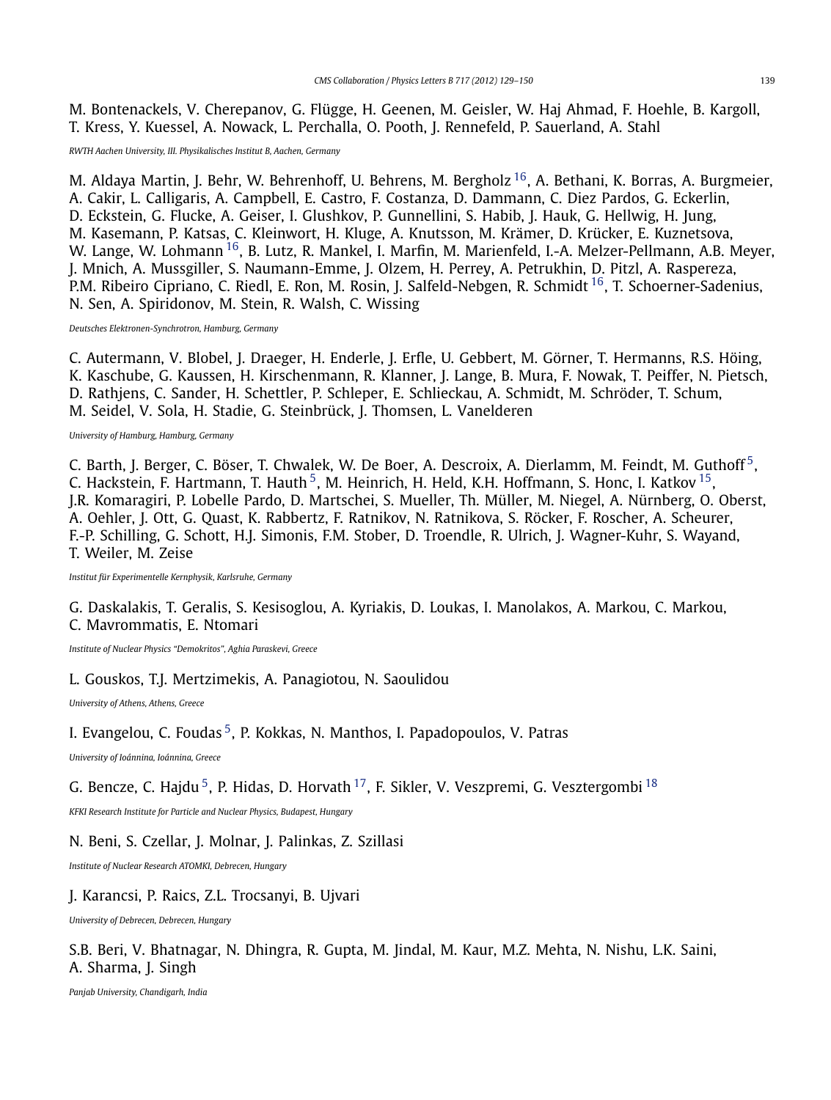M. Bontenackels, V. Cherepanov, G. Flügge, H. Geenen, M. Geisler, W. Haj Ahmad, F. Hoehle, B. Kargoll, T. Kress, Y. Kuessel, A. Nowack, L. Perchalla, O. Pooth, J. Rennefeld, P. Sauerland, A. Stahl

*RWTH Aachen University, III. Physikalisches Institut B, Aachen, Germany*

M. Aldaya Martin, J. Behr, W. Behrenhoff, U. Behrens, M. Bergholz <sup>16</sup>, A. Bethani, K. Borras, A. Burgmeier, A. Cakir, L. Calligaris, A. Campbell, E. Castro, F. Costanza, D. Dammann, C. Diez Pardos, G. Eckerlin, D. Eckstein, G. Flucke, A. Geiser, I. Glushkov, P. Gunnellini, S. Habib, J. Hauk, G. Hellwig, H. Jung, M. Kasemann, P. Katsas, C. Kleinwort, H. Kluge, A. Knutsson, M. Krämer, D. Krücker, E. Kuznetsova, W. Lange, W. Lohmann [16,](#page-20-0) B. Lutz, R. Mankel, I. Marfin, M. Marienfeld, I.-A. Melzer-Pellmann, A.B. Meyer, J. Mnich, A. Mussgiller, S. Naumann-Emme, J. Olzem, H. Perrey, A. Petrukhin, D. Pitzl, A. Raspereza, P.M. Ribeiro Cipriano, C. Riedl, E. Ron, M. Rosin, J. Salfeld-Nebgen, R. Schmidt <sup>16</sup>, T. Schoerner-Sadenius, N. Sen, A. Spiridonov, M. Stein, R. Walsh, C. Wissing

*Deutsches Elektronen-Synchrotron, Hamburg, Germany*

C. Autermann, V. Blobel, J. Draeger, H. Enderle, J. Erfle, U. Gebbert, M. Görner, T. Hermanns, R.S. Höing, K. Kaschube, G. Kaussen, H. Kirschenmann, R. Klanner, J. Lange, B. Mura, F. Nowak, T. Peiffer, N. Pietsch, D. Rathjens, C. Sander, H. Schettler, P. Schleper, E. Schlieckau, A. Schmidt, M. Schröder, T. Schum, M. Seidel, V. Sola, H. Stadie, G. Steinbrück, J. Thomsen, L. Vanelderen

*University of Hamburg, Hamburg, Germany*

C. Barth, J. Berger, C. Böser, T. Chwalek, W. De Boer, A. Descroix, A. Dierlamm, M. Feindt, M. Guthoff<sup>5</sup>. C. Hackstein, F. Hartmann, T. Hauth<sup>[5](#page-20-0)</sup>, M. Heinrich, H. Held, K.H. Hoffmann, S. Honc, I. Katkov <sup>15</sup>, J.R. Komaragiri, P. Lobelle Pardo, D. Martschei, S. Mueller, Th. Müller, M. Niegel, A. Nürnberg, O. Oberst, A. Oehler, J. Ott, G. Quast, K. Rabbertz, F. Ratnikov, N. Ratnikova, S. Röcker, F. Roscher, A. Scheurer, F.-P. Schilling, G. Schott, H.J. Simonis, F.M. Stober, D. Troendle, R. Ulrich, J. Wagner-Kuhr, S. Wayand, T. Weiler, M. Zeise

*Institut für Experimentelle Kernphysik, Karlsruhe, Germany*

G. Daskalakis, T. Geralis, S. Kesisoglou, A. Kyriakis, D. Loukas, I. Manolakos, A. Markou, C. Markou, C. Mavrommatis, E. Ntomari

*Institute of Nuclear Physics "Demokritos", Aghia Paraskevi, Greece*

#### L. Gouskos, T.J. Mertzimekis, A. Panagiotou, N. Saoulidou

*University of Athens, Athens, Greece*

# I. Evangelou, C. Foudas<sup>5</sup>, P. Kokkas, N. Manthos, I. Papadopoulos, V. Patras

*University of Ioánnina, Ioánnina, Greece*

G. Bencze, C. Hajdu <sup>5</sup>, P. Hidas, D. Horvath  $^{17}$ , F. Sikler, V. Veszpremi, G. Vesztergombi  $^{18}$  $^{18}$  $^{18}$ 

*KFKI Research Institute for Particle and Nuclear Physics, Budapest, Hungary*

#### N. Beni, S. Czellar, J. Molnar, J. Palinkas, Z. Szillasi

*Institute of Nuclear Research ATOMKI, Debrecen, Hungary*

## J. Karancsi, P. Raics, Z.L. Trocsanyi, B. Ujvari

*University of Debrecen, Debrecen, Hungary*

## S.B. Beri, V. Bhatnagar, N. Dhingra, R. Gupta, M. Jindal, M. Kaur, M.Z. Mehta, N. Nishu, L.K. Saini, A. Sharma, J. Singh

*Panjab University, Chandigarh, India*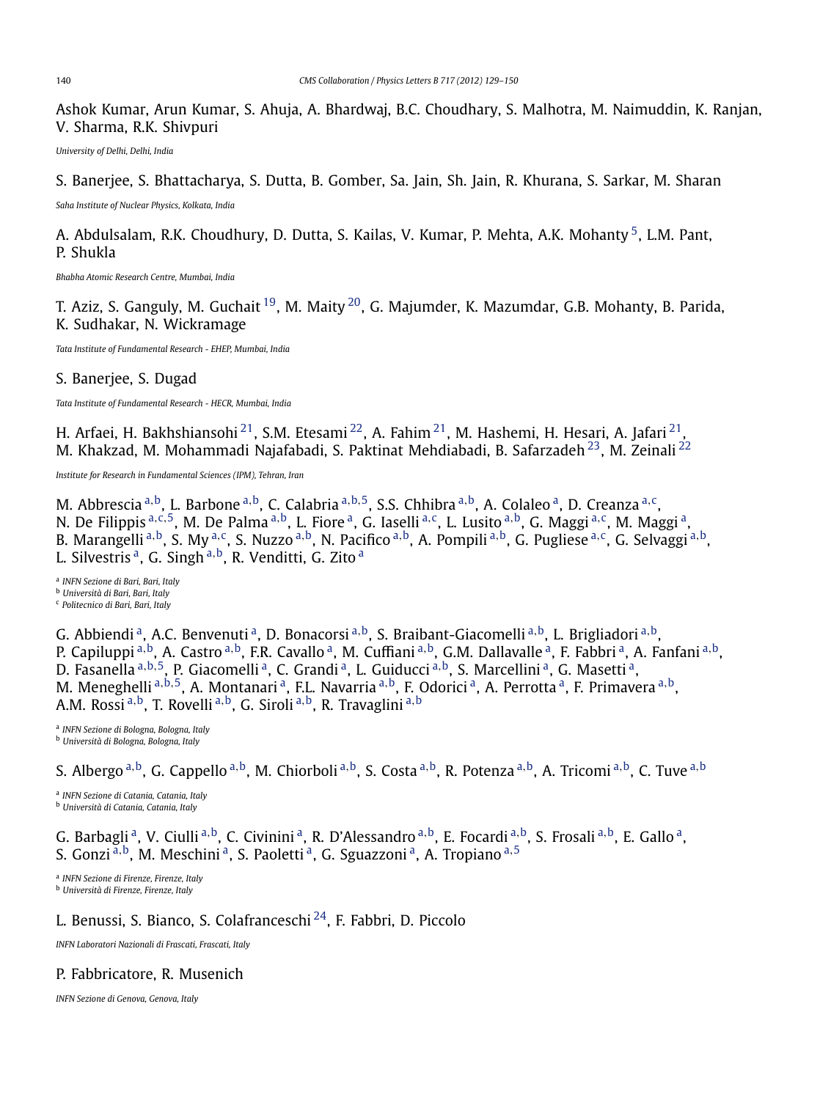# Ashok Kumar, Arun Kumar, S. Ahuja, A. Bhardwaj, B.C. Choudhary, S. Malhotra, M. Naimuddin, K. Ranjan, V. Sharma, R.K. Shivpuri

*University of Delhi, Delhi, India*

S. Banerjee, S. Bhattacharya, S. Dutta, B. Gomber, Sa. Jain, Sh. Jain, R. Khurana, S. Sarkar, M. Sharan

*Saha Institute of Nuclear Physics, Kolkata, India*

A. Abdulsalam, R.K. Choudhury, D. Dutta, S. Kailas, V. Kumar, P. Mehta, A.K. Mohanty<sup>5</sup>, L.M. Pant, P. Shukla

*Bhabha Atomic Research Centre, Mumbai, India*

T. Aziz, S. Ganguly, M. Guchait<sup>19</sup>, M. Maity<sup>20</sup>, G. Majumder, K. Mazumdar, G.B. Mohanty, B. Parida, K. Sudhakar, N. Wickramage

*Tata Institute of Fundamental Research - EHEP, Mumbai, India*

S. Banerjee, S. Dugad

*Tata Institute of Fundamental Research - HECR, Mumbai, India*

H. Arfaei, H. Bakhshiansohi<sup>21</sup>, S.M. Etesami<sup>22</sup>, A. Fahim<sup>21</sup>, M. Hashemi, H. Hesari, A. Jafari<sup>21</sup>, M. Khakzad, M. Mohammadi Najafabadi, S. Paktinat Mehdiabadi, B. Safarzadeh [23,](#page-20-0) M. Zeinali [22](#page-20-0)

*Institute for Research in Fundamental Sciences (IPM), Tehran, Iran*

M. Abbrescia <sup>a</sup>*,*b, L. Barbone <sup>a</sup>*,*b, C. Calabria <sup>a</sup>*,*b*,*[5,](#page-20-0) S.S. Chhibra <sup>a</sup>*,*b, A. Colaleo a, D. Creanza <sup>a</sup>*,*c, N. De Filippis <sup>a</sup>*,*c*,*[5](#page-20-0), M. De Palma <sup>a</sup>*,*b, L. Fiore a, G. Iaselli <sup>a</sup>*,*c, L. Lusito <sup>a</sup>*,*b, G. Maggi <sup>a</sup>*,*c, M. Maggi a, B. Marangelli <sup>a</sup>*,*b, S. My <sup>a</sup>*,*c, S. Nuzzo <sup>a</sup>*,*b, N. Pacifico <sup>a</sup>*,*b, A. Pompili <sup>a</sup>*,*b, G. Pugliese <sup>a</sup>*,*c, G. Selvaggi <sup>a</sup>*,*b, L. Silvestris a, G. Singh <sup>a</sup>*,*b, R. Venditti, G. Zito <sup>a</sup>

<sup>a</sup> *INFN Sezione di Bari, Bari, Italy*

<sup>b</sup> *Università di Bari, Bari, Italy*

<sup>c</sup> *Politecnico di Bari, Bari, Italy*

G. Abbiendi a, A.C. Benvenuti a, D. Bonacorsi <sup>a</sup>*,*b, S. Braibant-Giacomelli <sup>a</sup>*,*b, L. Brigliadori <sup>a</sup>*,*b, P. Capiluppi <sup>a</sup>*,*b, A. Castro <sup>a</sup>*,*b, F.R. Cavallo a, M. Cuffiani <sup>a</sup>*,*b, G.M. Dallavalle a, F. Fabbri a, A. Fanfani <sup>a</sup>*,*b, D. Fasanella <sup>a</sup>*,*b*,*[5,](#page-20-0) P. Giacomelli a, C. Grandi a, L. Guiducci <sup>a</sup>*,*b, S. Marcellini a, G. Masetti a, M. Meneghelli a, b, [5,](#page-20-0) A. Montanari <sup>a</sup>, F.L. Navarria a, b, F. Odorici <sup>a</sup>, A. Perrotta <sup>a</sup>, F. Primavera a, b, A.M. Rossi <sup>a</sup>*,*b, T. Rovelli <sup>a</sup>*,*b, G. Siroli <sup>a</sup>*,*b, R. Travaglini <sup>a</sup>*,*<sup>b</sup>

<sup>a</sup> *INFN Sezione di Bologna, Bologna, Italy*

<sup>b</sup> *Università di Bologna, Bologna, Italy*

S. Albergo <sup>a</sup>*,*b, G. Cappello <sup>a</sup>*,*b, M. Chiorboli <sup>a</sup>*,*b, S. Costa <sup>a</sup>*,*b, R. Potenza <sup>a</sup>*,*b, A. Tricomi <sup>a</sup>*,*b, C. Tuve <sup>a</sup>*,*<sup>b</sup>

<sup>a</sup> *INFN Sezione di Catania, Catania, Italy*

<sup>b</sup> *Università di Catania, Catania, Italy*

G. Barbagli<sup>a</sup>, V. Ciulli<sup>a,b</sup>, C. Civinini<sup>a</sup>, R. D'Alessandro<sup>a,b</sup>, E. Focardi<sup>a,b</sup>, S. Frosali<sup>a,b</sup>, E. Gallo<sup>a</sup>, S. Gonzi<sup>a,b</sup>, M. Meschini<sup>a</sup>, S. Paoletti<sup>a</sup>, G. Sguazzoni<sup>a</sup>, A. Tropiano<sup>a,[5](#page-20-0)</sup>

<sup>a</sup> *INFN Sezione di Firenze, Firenze, Italy* <sup>b</sup> *Università di Firenze, Firenze, Italy*

L. Benussi, S. Bianco, S. Colafranceschi $^{24}$ , F. Fabbri, D. Piccolo

*INFN Laboratori Nazionali di Frascati, Frascati, Italy*

# P. Fabbricatore, R. Musenich

*INFN Sezione di Genova, Genova, Italy*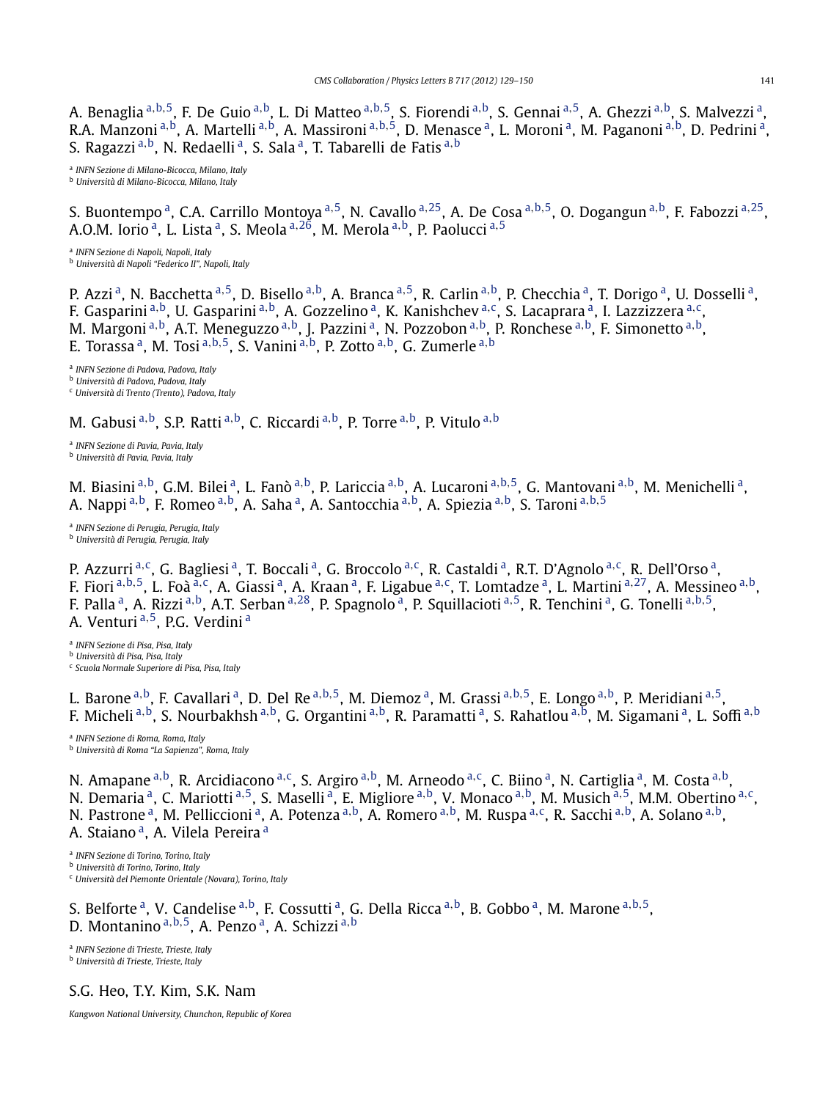A. Benaglia <sup>a</sup>*,*b*,*[5,](#page-20-0) F. De Guio <sup>a</sup>*,*b, L. Di Matteo <sup>a</sup>*,*b*,*[5,](#page-20-0) S. Fiorendi <sup>a</sup>*,*b, S. Gennai <sup>a</sup>*,*[5,](#page-20-0) A. Ghezzi <sup>a</sup>*,*b, S. Malvezzi a, R.A. Manzoni <sup>a</sup>*,*b, A. Martelli <sup>a</sup>*,*b, A. Massironi <sup>a</sup>*,*b*,*[5,](#page-20-0) D. Menasce a, L. Moroni a, M. Paganoni <sup>a</sup>*,*b, D. Pedrini a, S. Ragazzi <sup>a</sup>*,*b, N. Redaelli a, S. Sala a, T. Tabarelli de Fatis <sup>a</sup>*,*<sup>b</sup>

<sup>a</sup> *INFN Sezione di Milano-Bicocca, Milano, Italy* <sup>b</sup> *Università di Milano-Bicocca, Milano, Italy*

S. Buontempo a, C.A. Carrillo Montoya <sup>a</sup>*,*[5,](#page-20-0) N. Cavallo <sup>a</sup>*,*[25,](#page-20-0) A. De Cosa <sup>a</sup>*,*b*,*[5,](#page-20-0) O. Dogangun <sup>a</sup>*,*b, F. Fabozzi <sup>a</sup>*,*[25,](#page-20-0) A.O.M. Iorio a, L. Lista a, S. Meola <sup>a</sup>*,*[26,](#page-21-0) M. Merola <sup>a</sup>*,*b, P. Paolucci <sup>a</sup>*,*[5](#page-20-0)

<sup>a</sup> *INFN Sezione di Napoli, Napoli, Italy*

<sup>b</sup> *Università di Napoli "Federico II", Napoli, Italy*

P. Azzi<sup>a</sup>, N. Bacchetta <sup>a, 5</sup>, D. Bisello <sup>a, b</sup>, A. Branca <sup>a, 5</sup>, R. Carlin <sup>a, b</sup>, P. Checchia <sup>a</sup>, T. Dorigo <sup>a</sup>, U. Dosselli <sup>a</sup>, F. Gasparini <sup>a</sup>*,*b, U. Gasparini <sup>a</sup>*,*b, A. Gozzelino a, K. Kanishchev <sup>a</sup>*,*c, S. Lacaprara a, I. Lazzizzera <sup>a</sup>*,*c, M. Margoni <sup>a</sup>*,*b, A.T. Meneguzzo <sup>a</sup>*,*b, J. Pazzini a, N. Pozzobon <sup>a</sup>*,*b, P. Ronchese <sup>a</sup>*,*b, F. Simonetto <sup>a</sup>*,*b, E. Torassa a, M. Tosi <sup>a</sup>*,*b*,*[5,](#page-20-0) S. Vanini <sup>a</sup>*,*b, P. Zotto <sup>a</sup>*,*b, G. Zumerle <sup>a</sup>*,*<sup>b</sup>

<sup>a</sup> *INFN Sezione di Padova, Padova, Italy*

<sup>b</sup> *Università di Padova, Padova, Italy*

<sup>c</sup> *Università di Trento (Trento), Padova, Italy*

M. Gabusi <sup>a</sup>*,*b, S.P. Ratti <sup>a</sup>*,*b, C. Riccardi <sup>a</sup>*,*b, P. Torre <sup>a</sup>*,*b, P. Vitulo <sup>a</sup>*,*<sup>b</sup>

<sup>a</sup> *INFN Sezione di Pavia, Pavia, Italy* <sup>b</sup> *Università di Pavia, Pavia, Italy*

M. Biasini <sup>a</sup>*,*b, G.M. Bilei a, L. Fanò <sup>a</sup>*,*b, P. Lariccia <sup>a</sup>*,*b, A. Lucaroni <sup>a</sup>*,*b*,*[5,](#page-20-0) G. Mantovani <sup>a</sup>*,*b, M. Menichelli a, A. Nappi <sup>a</sup>*,*b, F. Romeo <sup>a</sup>*,*b, A. Saha a, A. Santocchia <sup>a</sup>*,*b, A. Spiezia <sup>a</sup>*,*b, S. Taroni <sup>a</sup>*,*b*,*[5](#page-20-0)

<sup>a</sup> *INFN Sezione di Perugia, Perugia, Italy* <sup>b</sup> *Università di Perugia, Perugia, Italy*

P. Azzurri<sup>a,c</sup>, G. Bagliesi<sup>a</sup>, T. Boccali<sup>a</sup>, G. Broccolo<sup>a,c</sup>, R. Castaldi<sup>a</sup>, R.T. D'Agnolo<sup>a,c</sup>, R. Dell'Orso<sup>a</sup>. F. Fiori <sup>a</sup>*,*b*,*[5,](#page-20-0) L. Foà <sup>a</sup>*,*c, A. Giassi a, A. Kraan a, F. Ligabue <sup>a</sup>*,*c, T. Lomtadze a, L. Martini <sup>a</sup>*,*[27,](#page-21-0) A. Messineo <sup>a</sup>*,*b, F. Palla a, A. Rizzi <sup>a</sup>*,*b, A.T. Serban <sup>a</sup>*,*[28,](#page-21-0) P. Spagnolo a, P. Squillacioti <sup>a</sup>*,*[5,](#page-20-0) R. Tenchini a, G. Tonelli <sup>a</sup>*,*b*,*[5,](#page-20-0) A. Venturi <sup>a</sup>*,*[5](#page-20-0), P.G. Verdini <sup>a</sup>

<sup>a</sup> *INFN Sezione di Pisa, Pisa, Italy* <sup>b</sup> *Università di Pisa, Pisa, Italy*

<sup>c</sup> *Scuola Normale Superiore di Pisa, Pisa, Italy*

L. Barone <sup>a</sup>*,*b, F. Cavallari a, D. Del Re <sup>a</sup>*,*b*,*[5](#page-20-0), M. Diemoz a, M. Grassi <sup>a</sup>*,*b*,*[5,](#page-20-0) E. Longo <sup>a</sup>*,*b, P. Meridiani <sup>a</sup>*,*[5,](#page-20-0) F. Micheli <sup>a</sup>*,*b, S. Nourbakhsh <sup>a</sup>*,*b, G. Organtini <sup>a</sup>*,*b, R. Paramatti a, S. Rahatlou <sup>a</sup>*,*b, M. Sigamani a, L. Soffi <sup>a</sup>*,*<sup>b</sup>

<sup>a</sup> *INFN Sezione di Roma, Roma, Italy*

<sup>b</sup> *Università di Roma "La Sapienza", Roma, Italy*

N. Amapane <sup>a</sup>*,*b, R. Arcidiacono <sup>a</sup>*,*c, S. Argiro <sup>a</sup>*,*b, M. Arneodo <sup>a</sup>*,*c, C. Biino a, N. Cartiglia a, M. Costa <sup>a</sup>*,*b, N. Demaria a, C. Mariotti <sup>a</sup>*,*[5,](#page-20-0) S. Maselli a, E. Migliore <sup>a</sup>*,*b, V. Monaco <sup>a</sup>*,*b, M. Musich <sup>a</sup>*,*[5,](#page-20-0) M.M. Obertino <sup>a</sup>*,*c, N. Pastrone a, M. Pelliccioni a, A. Potenza <sup>a</sup>*,*b, A. Romero <sup>a</sup>*,*b, M. Ruspa <sup>a</sup>*,*c, R. Sacchi <sup>a</sup>*,*b, A. Solano <sup>a</sup>*,*b, A. Staiano<sup>a</sup>, A. Vilela Pereira<sup>a</sup>

<sup>a</sup> *INFN Sezione di Torino, Torino, Italy* <sup>b</sup> *Università di Torino, Torino, Italy* <sup>c</sup> *Università del Piemonte Orientale (Novara), Torino, Italy*

<sup>a</sup> *INFN Sezione di Trieste, Trieste, Italy* <sup>b</sup> *Università di Trieste, Trieste, Italy*

## S.G. Heo, T.Y. Kim, S.K. Nam

*Kangwon National University, Chunchon, Republic of Korea*

S. Belforte a, V. Candelise <sup>a</sup>*,*b, F. Cossutti a, G. Della Ricca <sup>a</sup>*,*b, B. Gobbo a, M. Marone <sup>a</sup>*,*b*,*[5,](#page-20-0) D. Montanino <sup>a</sup>*,*b*,*[5,](#page-20-0) A. Penzo a, A. Schizzi <sup>a</sup>*,*<sup>b</sup>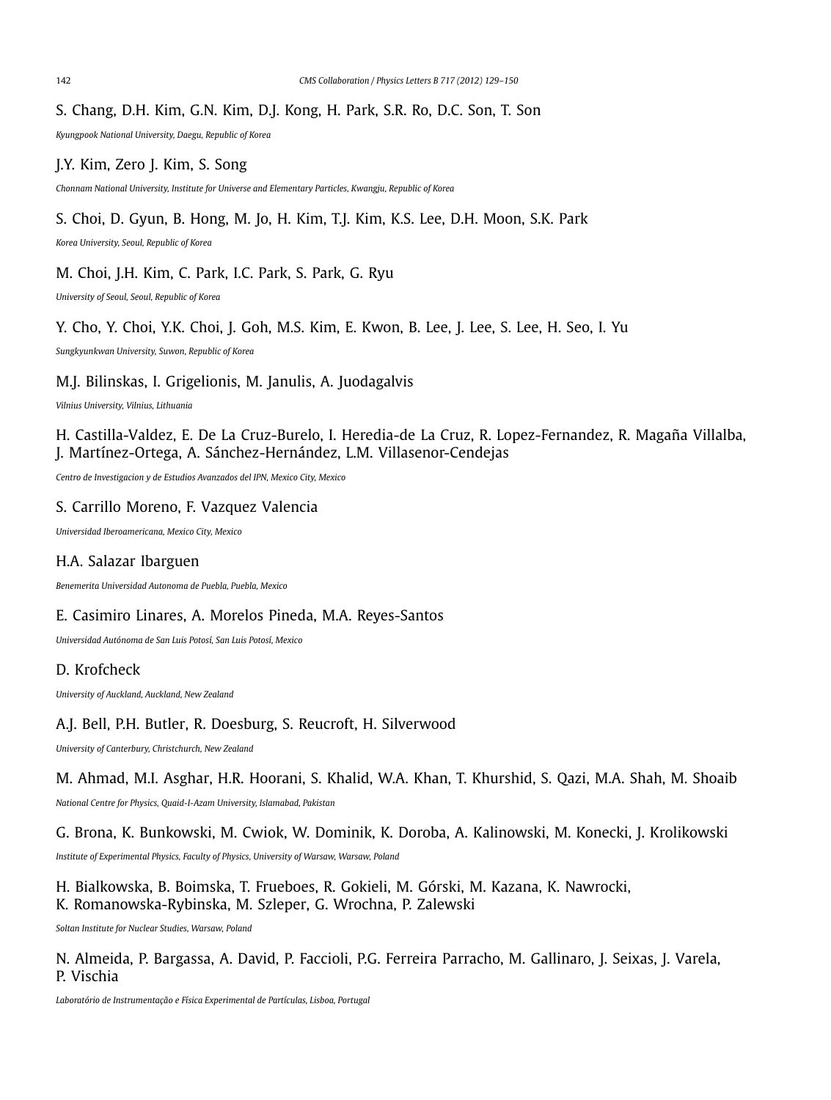## S. Chang, D.H. Kim, G.N. Kim, D.J. Kong, H. Park, S.R. Ro, D.C. Son, T. Son

*Kyungpook National University, Daegu, Republic of Korea*

#### J.Y. Kim, Zero J. Kim, S. Song

*Chonnam National University, Institute for Universe and Elementary Particles, Kwangju, Republic of Korea*

## S. Choi, D. Gyun, B. Hong, M. Jo, H. Kim, T.J. Kim, K.S. Lee, D.H. Moon, S.K. Park

*Korea University, Seoul, Republic of Korea*

M. Choi, J.H. Kim, C. Park, I.C. Park, S. Park, G. Ryu

*University of Seoul, Seoul, Republic of Korea*

#### Y. Cho, Y. Choi, Y.K. Choi, J. Goh, M.S. Kim, E. Kwon, B. Lee, J. Lee, S. Lee, H. Seo, I. Yu

*Sungkyunkwan University, Suwon, Republic of Korea*

#### M.J. Bilinskas, I. Grigelionis, M. Janulis, A. Juodagalvis

*Vilnius University, Vilnius, Lithuania*

## H. Castilla-Valdez, E. De La Cruz-Burelo, I. Heredia-de La Cruz, R. Lopez-Fernandez, R. Magaña Villalba, J. Martínez-Ortega, A. Sánchez-Hernández, L.M. Villasenor-Cendejas

*Centro de Investigacion y de Estudios Avanzados del IPN, Mexico City, Mexico*

## S. Carrillo Moreno, F. Vazquez Valencia

*Universidad Iberoamericana, Mexico City, Mexico*

#### H.A. Salazar Ibarguen

*Benemerita Universidad Autonoma de Puebla, Puebla, Mexico*

## E. Casimiro Linares, A. Morelos Pineda, M.A. Reyes-Santos

*Universidad Autónoma de San Luis Potosí, San Luis Potosí, Mexico*

## D. Krofcheck

*University of Auckland, Auckland, New Zealand*

#### A.J. Bell, P.H. Butler, R. Doesburg, S. Reucroft, H. Silverwood

*University of Canterbury, Christchurch, New Zealand*

#### M. Ahmad, M.I. Asghar, H.R. Hoorani, S. Khalid, W.A. Khan, T. Khurshid, S. Qazi, M.A. Shah, M. Shoaib

*National Centre for Physics, Quaid-I-Azam University, Islamabad, Pakistan*

G. Brona, K. Bunkowski, M. Cwiok, W. Dominik, K. Doroba, A. Kalinowski, M. Konecki, J. Krolikowski

*Institute of Experimental Physics, Faculty of Physics, University of Warsaw, Warsaw, Poland*

H. Bialkowska, B. Boimska, T. Frueboes, R. Gokieli, M. Górski, M. Kazana, K. Nawrocki, K. Romanowska-Rybinska, M. Szleper, G. Wrochna, P. Zalewski

*Soltan Institute for Nuclear Studies, Warsaw, Poland*

N. Almeida, P. Bargassa, A. David, P. Faccioli, P.G. Ferreira Parracho, M. Gallinaro, J. Seixas, J. Varela, P. Vischia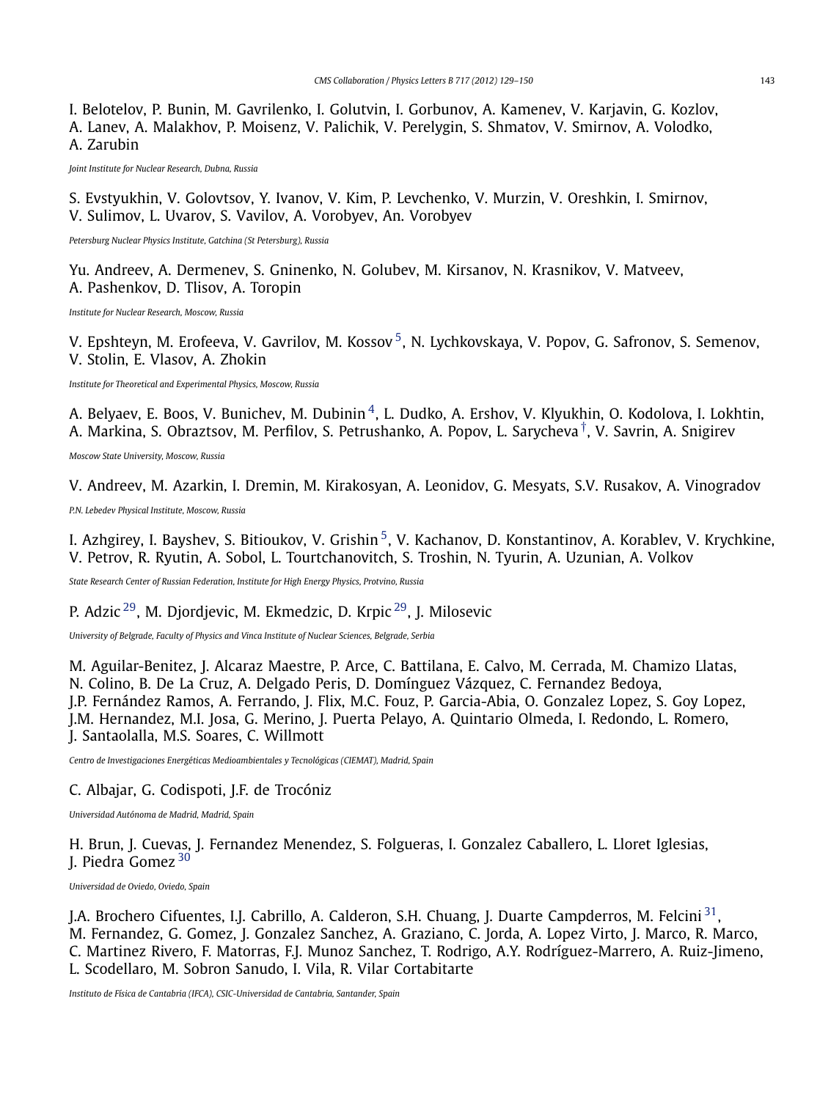I. Belotelov, P. Bunin, M. Gavrilenko, I. Golutvin, I. Gorbunov, A. Kamenev, V. Karjavin, G. Kozlov, A. Lanev, A. Malakhov, P. Moisenz, V. Palichik, V. Perelygin, S. Shmatov, V. Smirnov, A. Volodko, A. Zarubin

*Joint Institute for Nuclear Research, Dubna, Russia*

S. Evstyukhin, V. Golovtsov, Y. Ivanov, V. Kim, P. Levchenko, V. Murzin, V. Oreshkin, I. Smirnov, V. Sulimov, L. Uvarov, S. Vavilov, A. Vorobyev, An. Vorobyev

*Petersburg Nuclear Physics Institute, Gatchina (St Petersburg), Russia*

Yu. Andreev, A. Dermenev, S. Gninenko, N. Golubev, M. Kirsanov, N. Krasnikov, V. Matveev, A. Pashenkov, D. Tlisov, A. Toropin

*Institute for Nuclear Research, Moscow, Russia*

V. Epshteyn, M. Erofeeva, V. Gavrilov, M. Kossov<sup>5</sup>, N. Lychkovskaya, V. Popov, G. Safronov, S. Semenov, V. Stolin, E. Vlasov, A. Zhokin

*Institute for Theoretical and Experimental Physics, Moscow, Russia*

A. Belyaev, E. Boos, V. Bunichev, M. Dubinin<sup>4</sup>, L. Dudko, A. Ershov, V. Klyukhin, O. Kodolova, I. Lokhtin, A. Markina, S. Obraztsov, M. Perfilov, S. Petrushanko, A. Popov, L. Sarycheva [†](#page-20-0), V. Savrin, A. Snigirev

*Moscow State University, Moscow, Russia*

V. Andreev, M. Azarkin, I. Dremin, M. Kirakosyan, A. Leonidov, G. Mesyats, S.V. Rusakov, A. Vinogradov

*P.N. Lebedev Physical Institute, Moscow, Russia*

I. Azhgirey, I. Bayshev, S. Bitioukov, V. Grishin<sup>5</sup>, V. Kachanov, D. Konstantinov, A. Korablev, V. Krychkine, V. Petrov, R. Ryutin, A. Sobol, L. Tourtchanovitch, S. Troshin, N. Tyurin, A. Uzunian, A. Volkov

*State Research Center of Russian Federation, Institute for High Energy Physics, Protvino, Russia*

P. Adzic<sup>29</sup>, M. Djordjevic, M. Ekmedzic, D. Krpic<sup>29</sup>, I. Milosevic

*University of Belgrade, Faculty of Physics and Vinca Institute of Nuclear Sciences, Belgrade, Serbia*

M. Aguilar-Benitez, J. Alcaraz Maestre, P. Arce, C. Battilana, E. Calvo, M. Cerrada, M. Chamizo Llatas, N. Colino, B. De La Cruz, A. Delgado Peris, D. Domínguez Vázquez, C. Fernandez Bedoya, J.P. Fernández Ramos, A. Ferrando, J. Flix, M.C. Fouz, P. Garcia-Abia, O. Gonzalez Lopez, S. Goy Lopez, J.M. Hernandez, M.I. Josa, G. Merino, J. Puerta Pelayo, A. Quintario Olmeda, I. Redondo, L. Romero, J. Santaolalla, M.S. Soares, C. Willmott

*Centro de Investigaciones Energéticas Medioambientales y Tecnológicas (CIEMAT), Madrid, Spain*

# C. Albajar, G. Codispoti, J.F. de Trocóniz

*Universidad Autónoma de Madrid, Madrid, Spain*

H. Brun, J. Cuevas, J. Fernandez Menendez, S. Folgueras, I. Gonzalez Caballero, L. Lloret Iglesias, J. Piedra Gomez [30](#page-21-0)

*Universidad de Oviedo, Oviedo, Spain*

J.A. Brochero Cifuentes, I.J. Cabrillo, A. Calderon, S.H. Chuang, J. Duarte Campderros, M. Felcini [31,](#page-21-0) M. Fernandez, G. Gomez, J. Gonzalez Sanchez, A. Graziano, C. Jorda, A. Lopez Virto, J. Marco, R. Marco, C. Martinez Rivero, F. Matorras, F.J. Munoz Sanchez, T. Rodrigo, A.Y. Rodríguez-Marrero, A. Ruiz-Jimeno, L. Scodellaro, M. Sobron Sanudo, I. Vila, R. Vilar Cortabitarte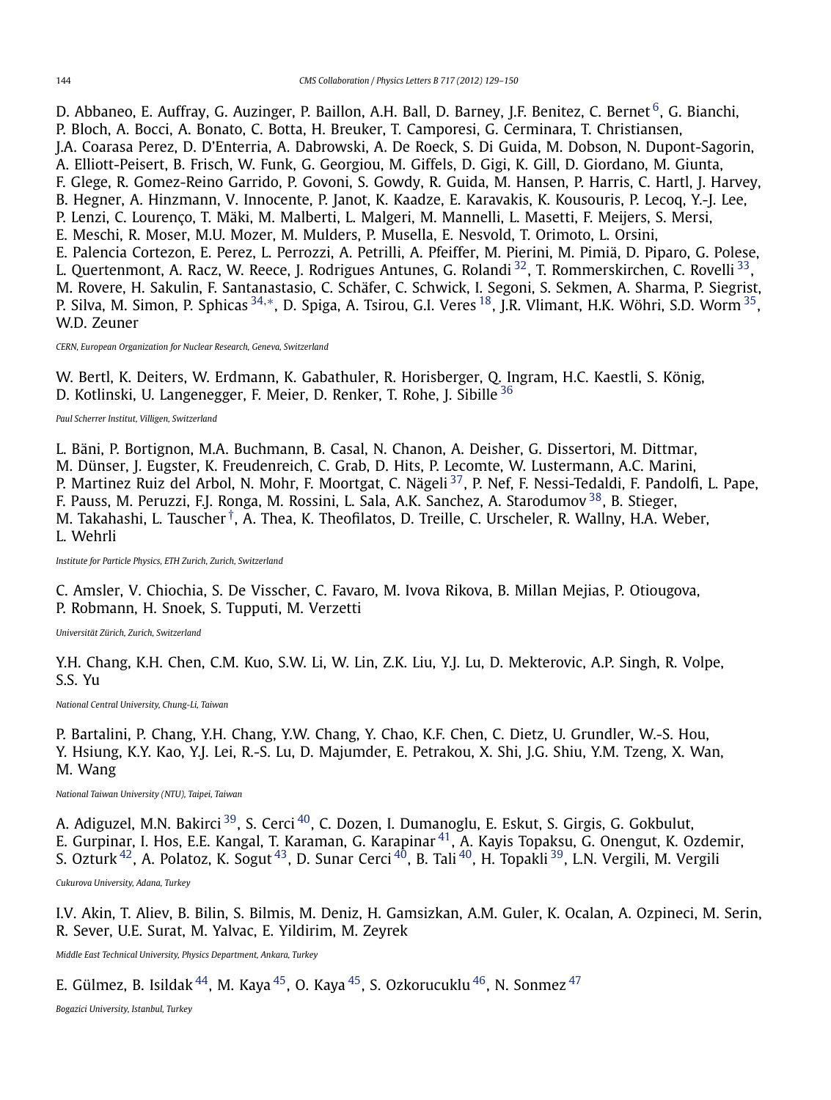D. Abbaneo, E. Auffray, G. Auzinger, P. Baillon, A.H. Ball, D. Barney, J.F. Benitez, C. Bernet <sup>6</sup>, G. Bianchi, P. Bloch, A. Bocci, A. Bonato, C. Botta, H. Breuker, T. Camporesi, G. Cerminara, T. Christiansen, J.A. Coarasa Perez, D. D'Enterria, A. Dabrowski, A. De Roeck, S. Di Guida, M. Dobson, N. Dupont-Sagorin, A. Elliott-Peisert, B. Frisch, W. Funk, G. Georgiou, M. Giffels, D. Gigi, K. Gill, D. Giordano, M. Giunta, F. Glege, R. Gomez-Reino Garrido, P. Govoni, S. Gowdy, R. Guida, M. Hansen, P. Harris, C. Hartl, J. Harvey, B. Hegner, A. Hinzmann, V. Innocente, P. Janot, K. Kaadze, E. Karavakis, K. Kousouris, P. Lecoq, Y.-J. Lee, P. Lenzi, C. Lourenço, T. Mäki, M. Malberti, L. Malgeri, M. Mannelli, L. Masetti, F. Meijers, S. Mersi, E. Meschi, R. Moser, M.U. Mozer, M. Mulders, P. Musella, E. Nesvold, T. Orimoto, L. Orsini, E. Palencia Cortezon, E. Perez, L. Perrozzi, A. Petrilli, A. Pfeiffer, M. Pierini, M. Pimiä, D. Piparo, G. Polese, L. Quertenmont, A. Racz, W. Reece, J. Rodrigues Antunes, G. Rolandi <sup>32</sup>, T. Rommerskirchen, C. Rovelli <sup>33</sup>, M. Rovere, H. Sakulin, F. Santanastasio, C. Schäfer, C. Schwick, I. Segoni, S. Sekmen, A. Sharma, P. Siegrist, P. Silva, M. Simon, P. Sphicas [34](#page-21-0)*,*[∗](#page-20-0), D. Spiga, A. Tsirou, G.I. Veres [18,](#page-20-0) J.R. Vlimant, H.K. Wöhri, S.D. Worm [35,](#page-21-0) W.D. Zeuner

*CERN, European Organization for Nuclear Research, Geneva, Switzerland*

W. Bertl, K. Deiters, W. Erdmann, K. Gabathuler, R. Horisberger, Q. Ingram, H.C. Kaestli, S. König, D. Kotlinski, U. Langenegger, F. Meier, D. Renker, T. Rohe, J. Sibille [36](#page-21-0)

*Paul Scherrer Institut, Villigen, Switzerland*

L. Bäni, P. Bortignon, M.A. Buchmann, B. Casal, N. Chanon, A. Deisher, G. Dissertori, M. Dittmar, M. Dünser, J. Eugster, K. Freudenreich, C. Grab, D. Hits, P. Lecomte, W. Lustermann, A.C. Marini, P. Martinez Ruiz del Arbol, N. Mohr, F. Moortgat, C. Nägeli<sup>37</sup>, P. Nef, F. Nessi-Tedaldi, F. Pandolfi, L. Pape, F. Pauss, M. Peruzzi, F.J. Ronga, M. Rossini, L. Sala, A.K. Sanchez, A. Starodumov [38,](#page-21-0) B. Stieger, M. Takahashi, L. Tauscher [†,](#page-20-0) A. Thea, K. Theofilatos, D. Treille, C. Urscheler, R. Wallny, H.A. Weber, L. Wehrli

*Institute for Particle Physics, ETH Zurich, Zurich, Switzerland*

C. Amsler, V. Chiochia, S. De Visscher, C. Favaro, M. Ivova Rikova, B. Millan Mejias, P. Otiougova, P. Robmann, H. Snoek, S. Tupputi, M. Verzetti

*Universität Zürich, Zurich, Switzerland*

Y.H. Chang, K.H. Chen, C.M. Kuo, S.W. Li, W. Lin, Z.K. Liu, Y.J. Lu, D. Mekterovic, A.P. Singh, R. Volpe, S.S. Yu

*National Central University, Chung-Li, Taiwan*

P. Bartalini, P. Chang, Y.H. Chang, Y.W. Chang, Y. Chao, K.F. Chen, C. Dietz, U. Grundler, W.-S. Hou, Y. Hsiung, K.Y. Kao, Y.J. Lei, R.-S. Lu, D. Majumder, E. Petrakou, X. Shi, J.G. Shiu, Y.M. Tzeng, X. Wan, M. Wang

*National Taiwan University (NTU), Taipei, Taiwan*

A. Adiguzel, M.N. Bakirci [39,](#page-21-0) S. Cerci [40,](#page-21-0) C. Dozen, I. Dumanoglu, E. Eskut, S. Girgis, G. Gokbulut, E. Gurpinar, I. Hos, E.E. Kangal, T. Karaman, G. Karapinar [41,](#page-21-0) A. Kayis Topaksu, G. Onengut, K. Ozdemir, S. Ozturk [42,](#page-21-0) A. Polatoz, K. Sogut [43,](#page-21-0) D. Sunar Cerci [40,](#page-21-0) B. Tali [40,](#page-21-0) H. Topakli [39,](#page-21-0) L.N. Vergili, M. Vergili

*Cukurova University, Adana, Turkey*

I.V. Akin, T. Aliev, B. Bilin, S. Bilmis, M. Deniz, H. Gamsizkan, A.M. Guler, K. Ocalan, A. Ozpineci, M. Serin, R. Sever, U.E. Surat, M. Yalvac, E. Yildirim, M. Zeyrek

*Middle East Technical University, Physics Department, Ankara, Turkey*

E. Gülmez, B. Isildak  $^{44}$ , M. Kaya  $^{45}$ , O. Kaya  $^{45}$ , S. Ozkorucuklu  $^{46}$ . N. Sonmez  $^{47}$  $^{47}$  $^{47}$ 

*Bogazici University, Istanbul, Turkey*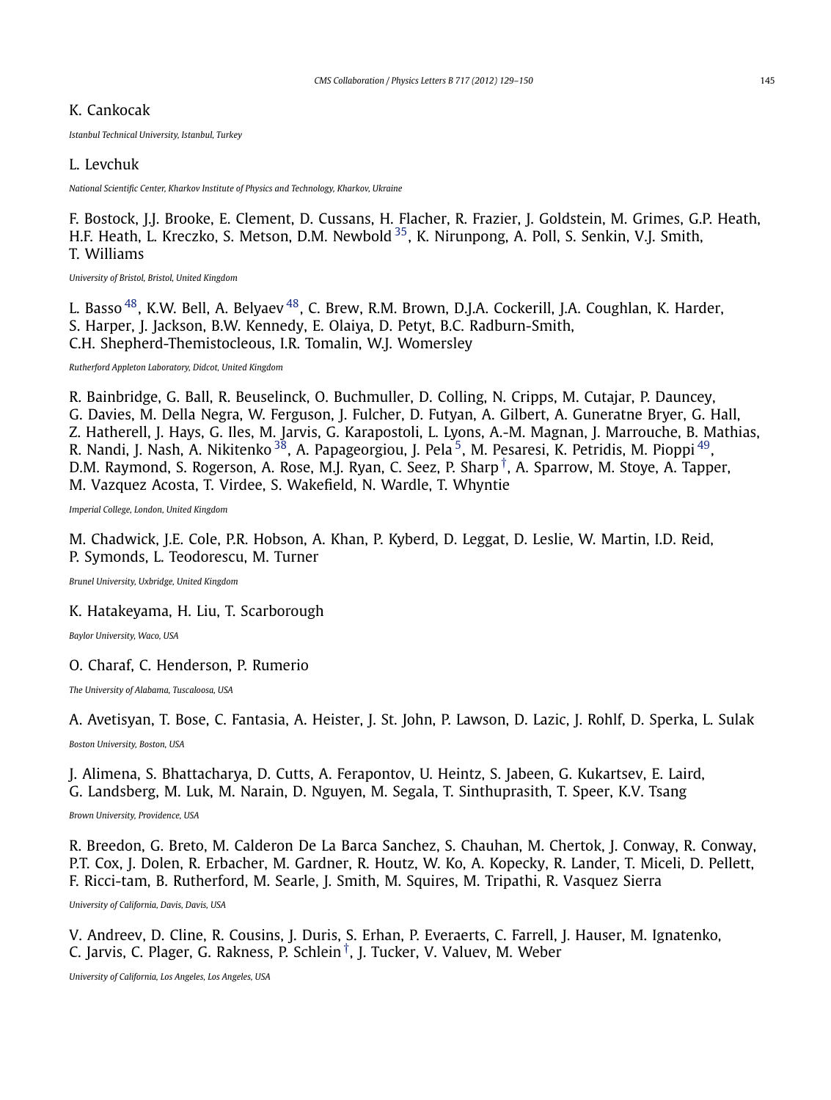# K. Cankocak

*Istanbul Technical University, Istanbul, Turkey*

## L. Levchuk

*National Scientific Center, Kharkov Institute of Physics and Technology, Kharkov, Ukraine*

F. Bostock, J.J. Brooke, E. Clement, D. Cussans, H. Flacher, R. Frazier, J. Goldstein, M. Grimes, G.P. Heath, H.F. Heath, L. Kreczko, S. Metson, D.M. Newbold [35,](#page-21-0) K. Nirunpong, A. Poll, S. Senkin, V.J. Smith, T. Williams

*University of Bristol, Bristol, United Kingdom*

L. Basso<sup>48</sup>, K.W. Bell, A. Belyaev<sup>48</sup>, C. Brew, R.M. Brown, D.J.A. Cockerill, J.A. Coughlan, K. Harder, S. Harper, J. Jackson, B.W. Kennedy, E. Olaiya, D. Petyt, B.C. Radburn-Smith, C.H. Shepherd-Themistocleous, I.R. Tomalin, W.J. Womersley

*Rutherford Appleton Laboratory, Didcot, United Kingdom*

R. Bainbridge, G. Ball, R. Beuselinck, O. Buchmuller, D. Colling, N. Cripps, M. Cutajar, P. Dauncey, G. Davies, M. Della Negra, W. Ferguson, J. Fulcher, D. Futyan, A. Gilbert, A. Guneratne Bryer, G. Hall, Z. Hatherell, J. Hays, G. Iles, M. Jarvis, G. Karapostoli, L. Lyons, A.-M. Magnan, J. Marrouche, B. Mathias, R. Nandi, J. Nash, A. Nikitenko <sup>38</sup>, A. Papageorgiou, J. Pela<sup>[5](#page-20-0)</sup>, M. Pesaresi, K. Petridis, M. Pioppi <sup>49</sup>, D.M. Raymond, S. Rogerson, A. Rose, M.J. Ryan, C. Seez, P. Sharp [†,](#page-20-0) A. Sparrow, M. Stoye, A. Tapper, M. Vazquez Acosta, T. Virdee, S. Wakefield, N. Wardle, T. Whyntie

*Imperial College, London, United Kingdom*

M. Chadwick, J.E. Cole, P.R. Hobson, A. Khan, P. Kyberd, D. Leggat, D. Leslie, W. Martin, I.D. Reid, P. Symonds, L. Teodorescu, M. Turner

*Brunel University, Uxbridge, United Kingdom*

K. Hatakeyama, H. Liu, T. Scarborough

*Baylor University, Waco, USA*

O. Charaf, C. Henderson, P. Rumerio

*The University of Alabama, Tuscaloosa, USA*

A. Avetisyan, T. Bose, C. Fantasia, A. Heister, J. St. John, P. Lawson, D. Lazic, J. Rohlf, D. Sperka, L. Sulak *Boston University, Boston, USA*

J. Alimena, S. Bhattacharya, D. Cutts, A. Ferapontov, U. Heintz, S. Jabeen, G. Kukartsev, E. Laird, G. Landsberg, M. Luk, M. Narain, D. Nguyen, M. Segala, T. Sinthuprasith, T. Speer, K.V. Tsang

*Brown University, Providence, USA*

R. Breedon, G. Breto, M. Calderon De La Barca Sanchez, S. Chauhan, M. Chertok, J. Conway, R. Conway, P.T. Cox, J. Dolen, R. Erbacher, M. Gardner, R. Houtz, W. Ko, A. Kopecky, R. Lander, T. Miceli, D. Pellett, F. Ricci-tam, B. Rutherford, M. Searle, J. Smith, M. Squires, M. Tripathi, R. Vasquez Sierra

*University of California, Davis, Davis, USA*

V. Andreev, D. Cline, R. Cousins, J. Duris, S. Erhan, P. Everaerts, C. Farrell, J. Hauser, M. Ignatenko, C. Jarvis, C. Plager, G. Rakness, P. Schlein [†,](#page-20-0) J. Tucker, V. Valuev, M. Weber

*University of California, Los Angeles, Los Angeles, USA*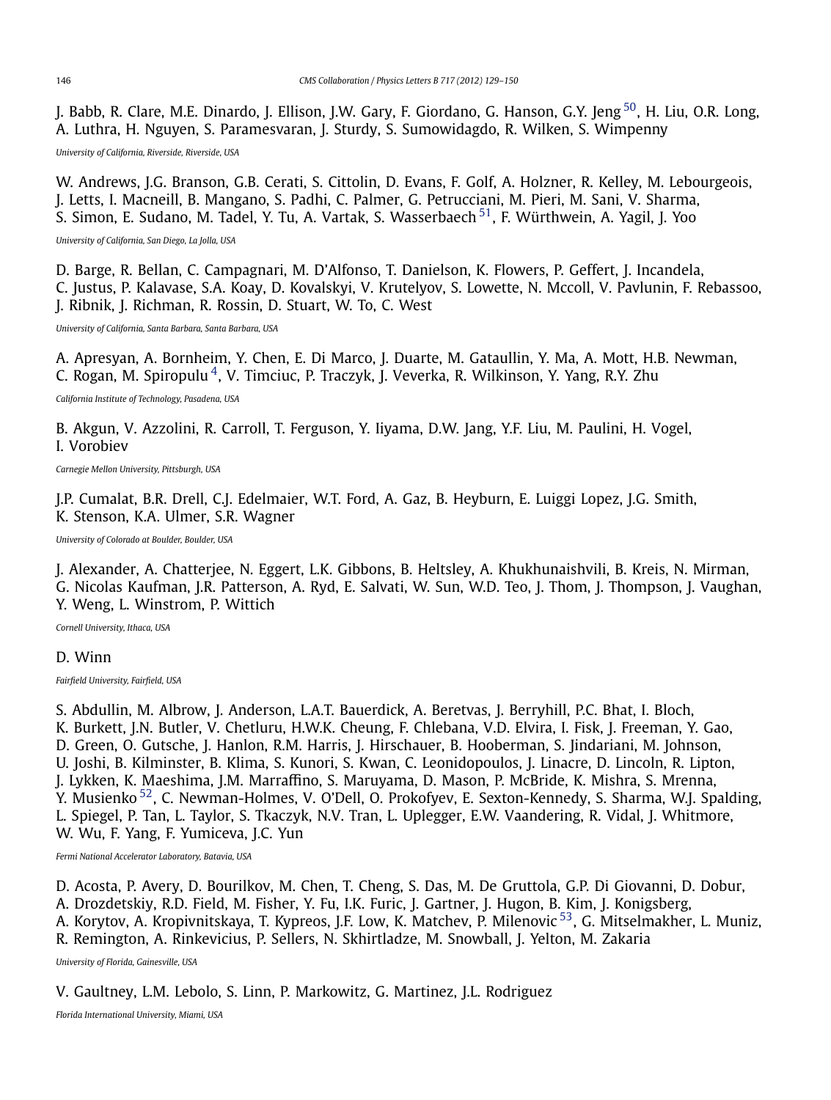J. Babb, R. Clare, M.E. Dinardo, J. Ellison, J.W. Gary, F. Giordano, G. Hanson, G.Y. Jeng [50,](#page-21-0) H. Liu, O.R. Long, A. Luthra, H. Nguyen, S. Paramesvaran, J. Sturdy, S. Sumowidagdo, R. Wilken, S. Wimpenny

*University of California, Riverside, Riverside, USA*

W. Andrews, J.G. Branson, G.B. Cerati, S. Cittolin, D. Evans, F. Golf, A. Holzner, R. Kelley, M. Lebourgeois, J. Letts, I. Macneill, B. Mangano, S. Padhi, C. Palmer, G. Petrucciani, M. Pieri, M. Sani, V. Sharma, S. Simon, E. Sudano, M. Tadel, Y. Tu, A. Vartak, S. Wasserbaech [51,](#page-21-0) F. Würthwein, A. Yagil, J. Yoo

*University of California, San Diego, La Jolla, USA*

D. Barge, R. Bellan, C. Campagnari, M. D'Alfonso, T. Danielson, K. Flowers, P. Geffert, J. Incandela, C. Justus, P. Kalavase, S.A. Koay, D. Kovalskyi, V. Krutelyov, S. Lowette, N. Mccoll, V. Pavlunin, F. Rebassoo, J. Ribnik, J. Richman, R. Rossin, D. Stuart, W. To, C. West

*University of California, Santa Barbara, Santa Barbara, USA*

A. Apresyan, A. Bornheim, Y. Chen, E. Di Marco, J. Duarte, M. Gataullin, Y. Ma, A. Mott, H.B. Newman, C. Rogan, M. Spiropulu<sup>4</sup>, V. Timciuc, P. Traczyk, J. Veverka, R. Wilkinson, Y. Yang, R.Y. Zhu

*California Institute of Technology, Pasadena, USA*

B. Akgun, V. Azzolini, R. Carroll, T. Ferguson, Y. Iiyama, D.W. Jang, Y.F. Liu, M. Paulini, H. Vogel, I. Vorobiev

*Carnegie Mellon University, Pittsburgh, USA*

J.P. Cumalat, B.R. Drell, C.J. Edelmaier, W.T. Ford, A. Gaz, B. Heyburn, E. Luiggi Lopez, J.G. Smith, K. Stenson, K.A. Ulmer, S.R. Wagner

*University of Colorado at Boulder, Boulder, USA*

J. Alexander, A. Chatterjee, N. Eggert, L.K. Gibbons, B. Heltsley, A. Khukhunaishvili, B. Kreis, N. Mirman, G. Nicolas Kaufman, J.R. Patterson, A. Ryd, E. Salvati, W. Sun, W.D. Teo, J. Thom, J. Thompson, J. Vaughan, Y. Weng, L. Winstrom, P. Wittich

*Cornell University, Ithaca, USA*

D. Winn

*Fairfield University, Fairfield, USA*

S. Abdullin, M. Albrow, J. Anderson, L.A.T. Bauerdick, A. Beretvas, J. Berryhill, P.C. Bhat, I. Bloch, K. Burkett, J.N. Butler, V. Chetluru, H.W.K. Cheung, F. Chlebana, V.D. Elvira, I. Fisk, J. Freeman, Y. Gao, D. Green, O. Gutsche, J. Hanlon, R.M. Harris, J. Hirschauer, B. Hooberman, S. Jindariani, M. Johnson, U. Joshi, B. Kilminster, B. Klima, S. Kunori, S. Kwan, C. Leonidopoulos, J. Linacre, D. Lincoln, R. Lipton, J. Lykken, K. Maeshima, J.M. Marraffino, S. Maruyama, D. Mason, P. McBride, K. Mishra, S. Mrenna, Y. Musienko [52,](#page-21-0) C. Newman-Holmes, V. O'Dell, O. Prokofyev, E. Sexton-Kennedy, S. Sharma, W.J. Spalding, L. Spiegel, P. Tan, L. Taylor, S. Tkaczyk, N.V. Tran, L. Uplegger, E.W. Vaandering, R. Vidal, J. Whitmore, W. Wu, F. Yang, F. Yumiceva, J.C. Yun

*Fermi National Accelerator Laboratory, Batavia, USA*

D. Acosta, P. Avery, D. Bourilkov, M. Chen, T. Cheng, S. Das, M. De Gruttola, G.P. Di Giovanni, D. Dobur, A. Drozdetskiy, R.D. Field, M. Fisher, Y. Fu, I.K. Furic, J. Gartner, J. Hugon, B. Kim, J. Konigsberg, A. Korytov, A. Kropivnitskaya, T. Kypreos, J.F. Low, K. Matchev, P. Milenovic <sup>53</sup>, G. Mitselmakher, L. Muniz, R. Remington, A. Rinkevicius, P. Sellers, N. Skhirtladze, M. Snowball, J. Yelton, M. Zakaria

*University of Florida, Gainesville, USA*

V. Gaultney, L.M. Lebolo, S. Linn, P. Markowitz, G. Martinez, J.L. Rodriguez

*Florida International University, Miami, USA*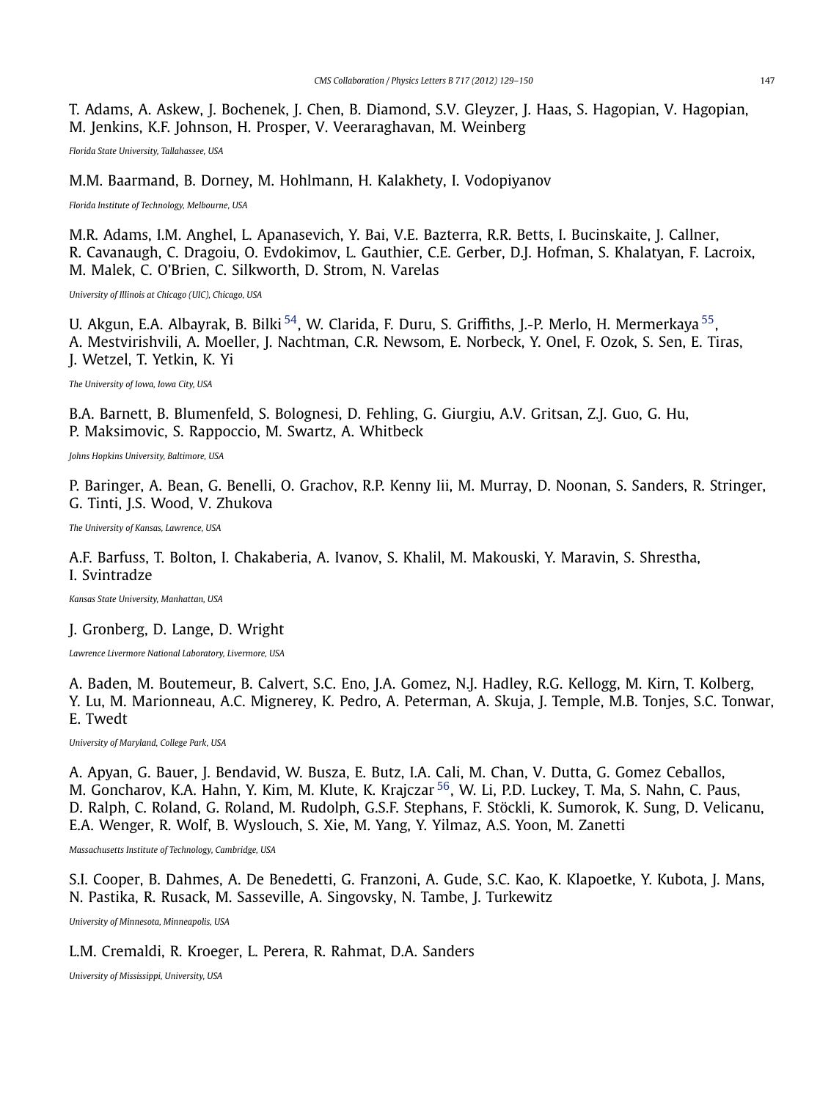T. Adams, A. Askew, J. Bochenek, J. Chen, B. Diamond, S.V. Gleyzer, J. Haas, S. Hagopian, V. Hagopian, M. Jenkins, K.F. Johnson, H. Prosper, V. Veeraraghavan, M. Weinberg

*Florida State University, Tallahassee, USA*

M.M. Baarmand, B. Dorney, M. Hohlmann, H. Kalakhety, I. Vodopiyanov

*Florida Institute of Technology, Melbourne, USA*

M.R. Adams, I.M. Anghel, L. Apanasevich, Y. Bai, V.E. Bazterra, R.R. Betts, I. Bucinskaite, J. Callner, R. Cavanaugh, C. Dragoiu, O. Evdokimov, L. Gauthier, C.E. Gerber, D.J. Hofman, S. Khalatyan, F. Lacroix, M. Malek, C. O'Brien, C. Silkworth, D. Strom, N. Varelas

*University of Illinois at Chicago (UIC), Chicago, USA*

U. Akgun, E.A. Albayrak, B. Bilki <sup>54</sup>, W. Clarida, F. Duru, S. Griffiths, J.-P. Merlo, H. Mermerkaya <sup>55</sup>, A. Mestvirishvili, A. Moeller, J. Nachtman, C.R. Newsom, E. Norbeck, Y. Onel, F. Ozok, S. Sen, E. Tiras, J. Wetzel, T. Yetkin, K. Yi

*The University of Iowa, Iowa City, USA*

B.A. Barnett, B. Blumenfeld, S. Bolognesi, D. Fehling, G. Giurgiu, A.V. Gritsan, Z.J. Guo, G. Hu, P. Maksimovic, S. Rappoccio, M. Swartz, A. Whitbeck

*Johns Hopkins University, Baltimore, USA*

P. Baringer, A. Bean, G. Benelli, O. Grachov, R.P. Kenny Iii, M. Murray, D. Noonan, S. Sanders, R. Stringer, G. Tinti, J.S. Wood, V. Zhukova

*The University of Kansas, Lawrence, USA*

A.F. Barfuss, T. Bolton, I. Chakaberia, A. Ivanov, S. Khalil, M. Makouski, Y. Maravin, S. Shrestha, I. Svintradze

*Kansas State University, Manhattan, USA*

J. Gronberg, D. Lange, D. Wright

*Lawrence Livermore National Laboratory, Livermore, USA*

A. Baden, M. Boutemeur, B. Calvert, S.C. Eno, J.A. Gomez, N.J. Hadley, R.G. Kellogg, M. Kirn, T. Kolberg, Y. Lu, M. Marionneau, A.C. Mignerey, K. Pedro, A. Peterman, A. Skuja, J. Temple, M.B. Tonjes, S.C. Tonwar, E. Twedt

*University of Maryland, College Park, USA*

A. Apyan, G. Bauer, J. Bendavid, W. Busza, E. Butz, I.A. Cali, M. Chan, V. Dutta, G. Gomez Ceballos, M. Goncharov, K.A. Hahn, Y. Kim, M. Klute, K. Krajczar [56,](#page-21-0) W. Li, P.D. Luckey, T. Ma, S. Nahn, C. Paus, D. Ralph, C. Roland, G. Roland, M. Rudolph, G.S.F. Stephans, F. Stöckli, K. Sumorok, K. Sung, D. Velicanu, E.A. Wenger, R. Wolf, B. Wyslouch, S. Xie, M. Yang, Y. Yilmaz, A.S. Yoon, M. Zanetti

*Massachusetts Institute of Technology, Cambridge, USA*

S.I. Cooper, B. Dahmes, A. De Benedetti, G. Franzoni, A. Gude, S.C. Kao, K. Klapoetke, Y. Kubota, J. Mans, N. Pastika, R. Rusack, M. Sasseville, A. Singovsky, N. Tambe, J. Turkewitz

*University of Minnesota, Minneapolis, USA*

L.M. Cremaldi, R. Kroeger, L. Perera, R. Rahmat, D.A. Sanders

*University of Mississippi, University, USA*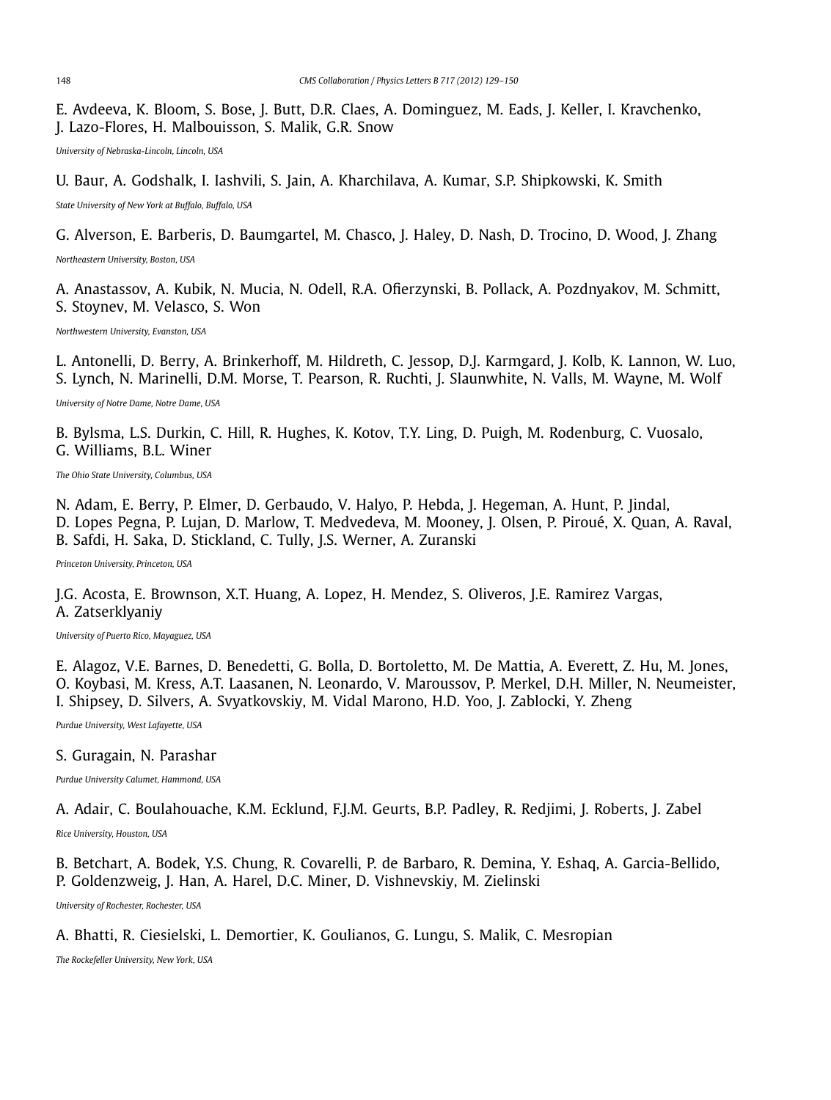E. Avdeeva, K. Bloom, S. Bose, J. Butt, D.R. Claes, A. Dominguez, M. Eads, J. Keller, I. Kravchenko, J. Lazo-Flores, H. Malbouisson, S. Malik, G.R. Snow

*University of Nebraska-Lincoln, Lincoln, USA*

U. Baur, A. Godshalk, I. Iashvili, S. Jain, A. Kharchilava, A. Kumar, S.P. Shipkowski, K. Smith

*State University of New York at Buffalo, Buffalo, USA*

G. Alverson, E. Barberis, D. Baumgartel, M. Chasco, J. Haley, D. Nash, D. Trocino, D. Wood, J. Zhang

*Northeastern University, Boston, USA*

A. Anastassov, A. Kubik, N. Mucia, N. Odell, R.A. Ofierzynski, B. Pollack, A. Pozdnyakov, M. Schmitt, S. Stoynev, M. Velasco, S. Won

*Northwestern University, Evanston, USA*

L. Antonelli, D. Berry, A. Brinkerhoff, M. Hildreth, C. Jessop, D.J. Karmgard, J. Kolb, K. Lannon, W. Luo, S. Lynch, N. Marinelli, D.M. Morse, T. Pearson, R. Ruchti, J. Slaunwhite, N. Valls, M. Wayne, M. Wolf

*University of Notre Dame, Notre Dame, USA*

B. Bylsma, L.S. Durkin, C. Hill, R. Hughes, K. Kotov, T.Y. Ling, D. Puigh, M. Rodenburg, C. Vuosalo, G. Williams, B.L. Winer

*The Ohio State University, Columbus, USA*

N. Adam, E. Berry, P. Elmer, D. Gerbaudo, V. Halyo, P. Hebda, J. Hegeman, A. Hunt, P. Jindal, D. Lopes Pegna, P. Lujan, D. Marlow, T. Medvedeva, M. Mooney, J. Olsen, P. Piroué, X. Quan, A. Raval, B. Safdi, H. Saka, D. Stickland, C. Tully, J.S. Werner, A. Zuranski

*Princeton University, Princeton, USA*

J.G. Acosta, E. Brownson, X.T. Huang, A. Lopez, H. Mendez, S. Oliveros, J.E. Ramirez Vargas, A. Zatserklyaniy

*University of Puerto Rico, Mayaguez, USA*

E. Alagoz, V.E. Barnes, D. Benedetti, G. Bolla, D. Bortoletto, M. De Mattia, A. Everett, Z. Hu, M. Jones, O. Koybasi, M. Kress, A.T. Laasanen, N. Leonardo, V. Maroussov, P. Merkel, D.H. Miller, N. Neumeister, I. Shipsey, D. Silvers, A. Svyatkovskiy, M. Vidal Marono, H.D. Yoo, J. Zablocki, Y. Zheng

*Purdue University, West Lafayette, USA*

## S. Guragain, N. Parashar

*Purdue University Calumet, Hammond, USA*

A. Adair, C. Boulahouache, K.M. Ecklund, F.J.M. Geurts, B.P. Padley, R. Redjimi, J. Roberts, J. Zabel

*Rice University, Houston, USA*

B. Betchart, A. Bodek, Y.S. Chung, R. Covarelli, P. de Barbaro, R. Demina, Y. Eshaq, A. Garcia-Bellido, P. Goldenzweig, J. Han, A. Harel, D.C. Miner, D. Vishnevskiy, M. Zielinski

*University of Rochester, Rochester, USA*

A. Bhatti, R. Ciesielski, L. Demortier, K. Goulianos, G. Lungu, S. Malik, C. Mesropian

*The Rockefeller University, New York, USA*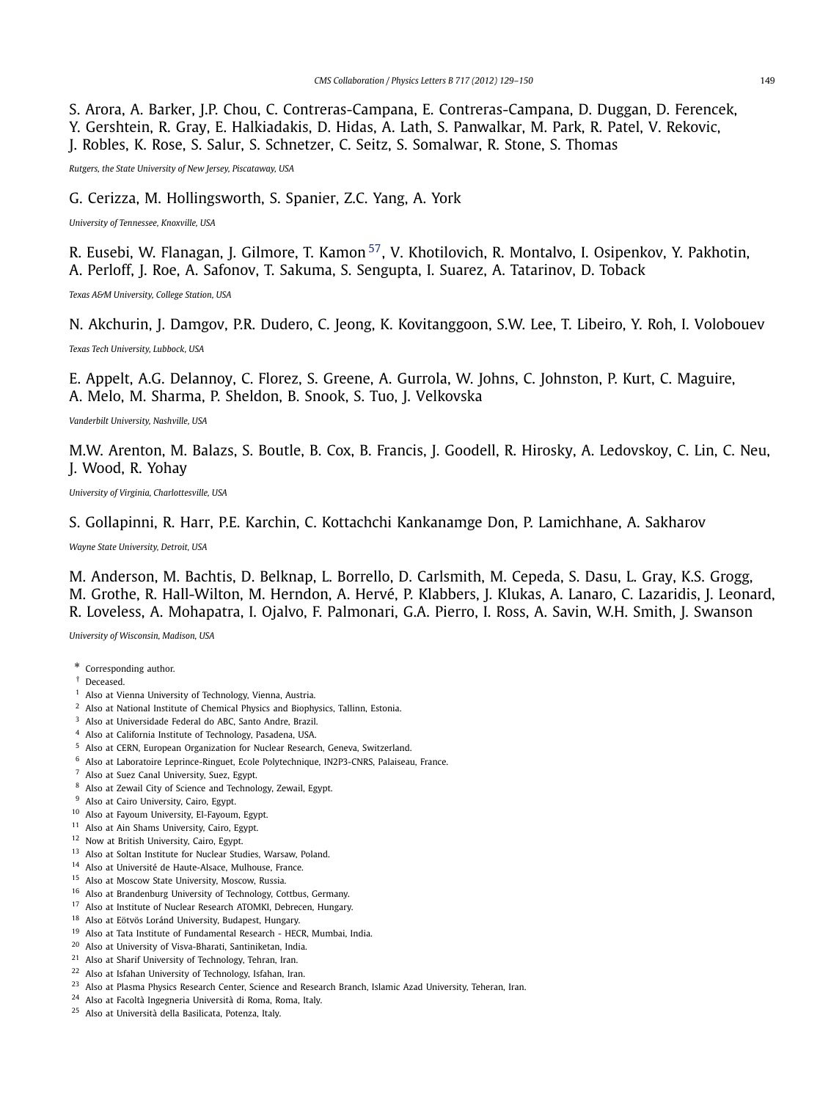<span id="page-20-0"></span>S. Arora, A. Barker, J.P. Chou, C. Contreras-Campana, E. Contreras-Campana, D. Duggan, D. Ferencek, Y. Gershtein, R. Gray, E. Halkiadakis, D. Hidas, A. Lath, S. Panwalkar, M. Park, R. Patel, V. Rekovic, J. Robles, K. Rose, S. Salur, S. Schnetzer, C. Seitz, S. Somalwar, R. Stone, S. Thomas

*Rutgers, the State University of New Jersey, Piscataway, USA*

G. Cerizza, M. Hollingsworth, S. Spanier, Z.C. Yang, A. York

*University of Tennessee, Knoxville, USA*

R. Eusebi, W. Flanagan, J. Gilmore, T. Kamon <sup>57</sup>, V. Khotilovich, R. Montalvo, I. Osipenkov, Y. Pakhotin, A. Perloff, J. Roe, A. Safonov, T. Sakuma, S. Sengupta, I. Suarez, A. Tatarinov, D. Toback

*Texas A&M University, College Station, USA*

N. Akchurin, J. Damgov, P.R. Dudero, C. Jeong, K. Kovitanggoon, S.W. Lee, T. Libeiro, Y. Roh, I. Volobouev

*Texas Tech University, Lubbock, USA*

E. Appelt, A.G. Delannoy, C. Florez, S. Greene, A. Gurrola, W. Johns, C. Johnston, P. Kurt, C. Maguire, A. Melo, M. Sharma, P. Sheldon, B. Snook, S. Tuo, J. Velkovska

*Vanderbilt University, Nashville, USA*

M.W. Arenton, M. Balazs, S. Boutle, B. Cox, B. Francis, J. Goodell, R. Hirosky, A. Ledovskoy, C. Lin, C. Neu, J. Wood, R. Yohay

*University of Virginia, Charlottesville, USA*

S. Gollapinni, R. Harr, P.E. Karchin, C. Kottachchi Kankanamge Don, P. Lamichhane, A. Sakharov

*Wayne State University, Detroit, USA*

M. Anderson, M. Bachtis, D. Belknap, L. Borrello, D. Carlsmith, M. Cepeda, S. Dasu, L. Gray, K.S. Grogg, M. Grothe, R. Hall-Wilton, M. Herndon, A. Hervé, P. Klabbers, J. Klukas, A. Lanaro, C. Lazaridis, J. Leonard, R. Loveless, A. Mohapatra, I. Ojalvo, F. Palmonari, G.A. Pierro, I. Ross, A. Savin, W.H. Smith, J. Swanson

*University of Wisconsin, Madison, USA*

- \* Corresponding author.
- † Deceased.
- <sup>1</sup> Also at Vienna University of Technology, Vienna, Austria.
- <sup>2</sup> Also at National Institute of Chemical Physics and Biophysics, Tallinn, Estonia.
- <sup>3</sup> Also at Universidade Federal do ABC, Santo Andre, Brazil.
- <sup>4</sup> Also at California Institute of Technology, Pasadena, USA.
- <sup>5</sup> Also at CERN, European Organization for Nuclear Research, Geneva, Switzerland.
- <sup>6</sup> Also at Laboratoire Leprince-Ringuet, Ecole Polytechnique, IN2P3-CNRS, Palaiseau, France.
- <sup>7</sup> Also at Suez Canal University, Suez, Egypt.
- <sup>8</sup> Also at Zewail City of Science and Technology, Zewail, Egypt.
- <sup>9</sup> Also at Cairo University, Cairo, Egypt.
- <sup>10</sup> Also at Fayoum University, El-Fayoum, Egypt.
- <sup>11</sup> Also at Ain Shams University, Cairo, Egypt.
- <sup>12</sup> Now at British University, Cairo, Egypt.
- <sup>13</sup> Also at Soltan Institute for Nuclear Studies, Warsaw, Poland.
- <sup>14</sup> Also at Université de Haute-Alsace, Mulhouse, France.
- <sup>15</sup> Also at Moscow State University, Moscow, Russia.
- <sup>16</sup> Also at Brandenburg University of Technology, Cottbus, Germany.
- <sup>17</sup> Also at Institute of Nuclear Research ATOMKI, Debrecen, Hungary.
- <sup>18</sup> Also at Eötvös Loránd University, Budapest, Hungary.
- <sup>19</sup> Also at Tata Institute of Fundamental Research HECR, Mumbai, India.
- <sup>20</sup> Also at University of Visva-Bharati, Santiniketan, India.
- <sup>21</sup> Also at Sharif University of Technology, Tehran, Iran.
- <sup>22</sup> Also at Isfahan University of Technology, Isfahan, Iran.
- <sup>23</sup> Also at Plasma Physics Research Center, Science and Research Branch, Islamic Azad University, Teheran, Iran.
- <sup>24</sup> Also at Facoltà Ingegneria Università di Roma, Roma, Italy.
- <sup>25</sup> Also at Università della Basilicata, Potenza, Italy.